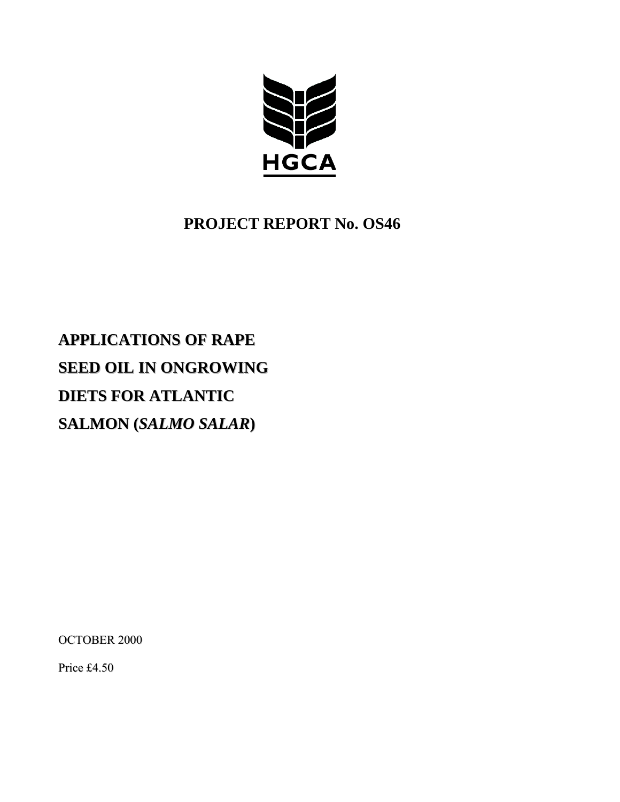

# **PROJECT REPORT No. OS46**

# **APPLICATIONS OF RAPE SEED OIL IN ONGROWING DIETS FOR ATLANTIC SALMON (***SALMO SALAR***)**

OCTOBER 2000

Price £4.50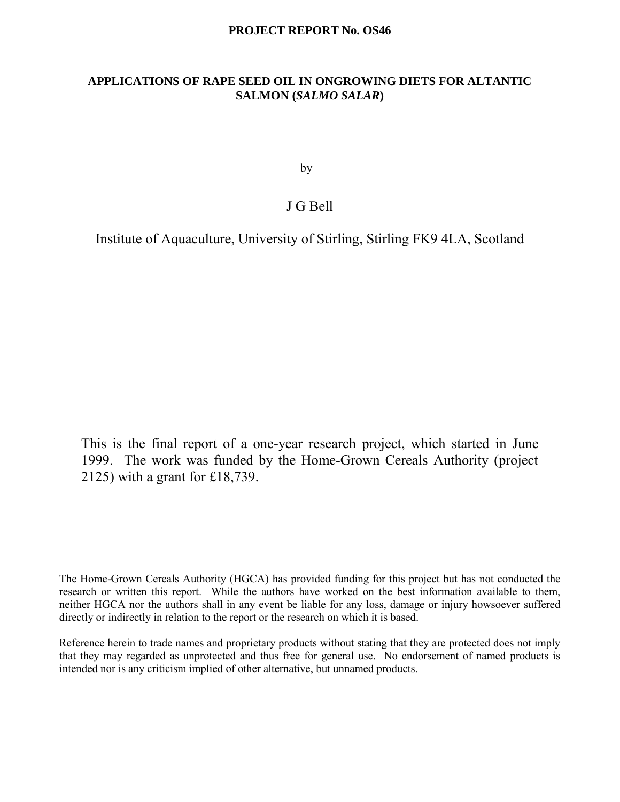## **PROJECT REPORT No. OS46**

# **APPLICATIONS OF RAPE SEED OIL IN ONGROWING DIETS FOR ALTANTIC SALMON (***SALMO SALAR***)**

by

# J G Bell

Institute of Aquaculture, University of Stirling, Stirling FK9 4LA, Scotland

This is the final report of a one-year research project, which started in June 1999. The work was funded by the Home-Grown Cereals Authority (project 2125) with a grant for £18,739.

The Home-Grown Cereals Authority (HGCA) has provided funding for this project but has not conducted the research or written this report. While the authors have worked on the best information available to them, neither HGCA nor the authors shall in any event be liable for any loss, damage or injury howsoever suffered directly or indirectly in relation to the report or the research on which it is based.

Reference herein to trade names and proprietary products without stating that they are protected does not imply that they may regarded as unprotected and thus free for general use. No endorsement of named products is intended nor is any criticism implied of other alternative, but unnamed products.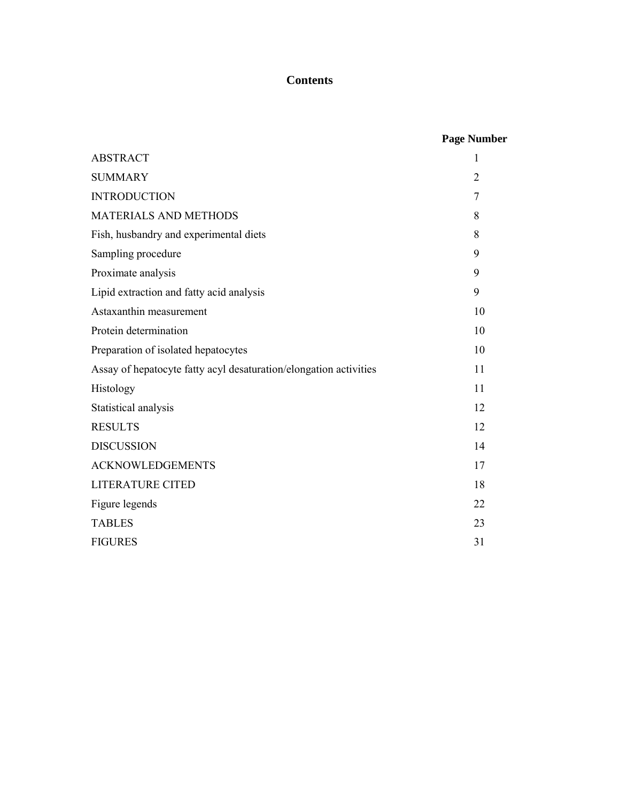# **Contents**

|  | <b>Page Number</b> |
|--|--------------------|
|--|--------------------|

| <b>ABSTRACT</b>                                                   | $\mathbf{1}$   |
|-------------------------------------------------------------------|----------------|
| <b>SUMMARY</b>                                                    | $\overline{2}$ |
| <b>INTRODUCTION</b>                                               | 7              |
| <b>MATERIALS AND METHODS</b>                                      | 8              |
| Fish, husbandry and experimental diets                            | 8              |
| Sampling procedure                                                | 9              |
| Proximate analysis                                                | 9              |
| Lipid extraction and fatty acid analysis                          | 9              |
| Astaxanthin measurement                                           | 10             |
| Protein determination                                             | 10             |
| Preparation of isolated hepatocytes                               | 10             |
| Assay of hepatocyte fatty acyl desaturation/elongation activities | 11             |
| Histology                                                         | 11             |
| Statistical analysis                                              | 12             |
| <b>RESULTS</b>                                                    | 12             |
| <b>DISCUSSION</b>                                                 | 14             |
| <b>ACKNOWLEDGEMENTS</b>                                           | 17             |
| <b>LITERATURE CITED</b>                                           | 18             |
| Figure legends                                                    | 22             |
| <b>TABLES</b>                                                     | 23             |
| <b>FIGURES</b>                                                    | 31             |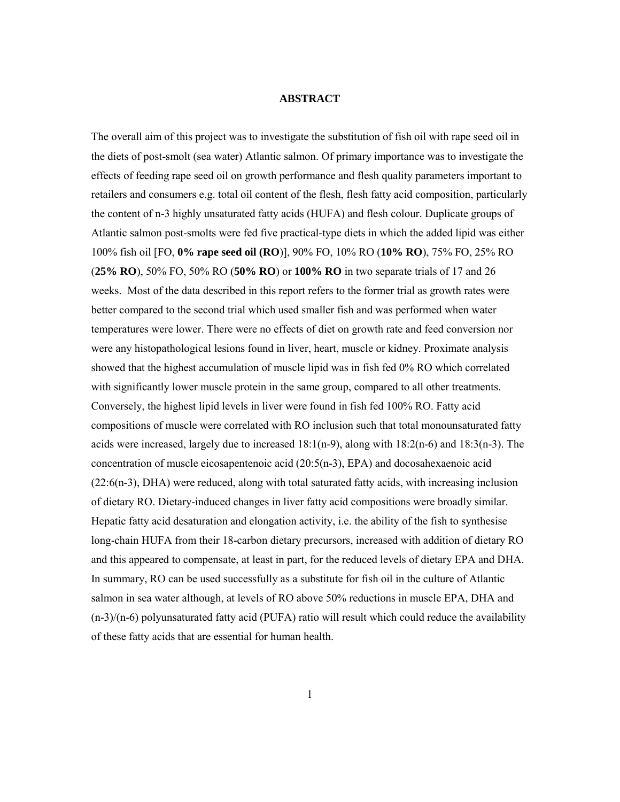#### **ABSTRACT**

The overall aim of this project was to investigate the substitution of fish oil with rape seed oil in the diets of post-smolt (sea water) Atlantic salmon. Of primary importance was to investigate the effects of feeding rape seed oil on growth performance and flesh quality parameters important to retailers and consumers e.g. total oil content of the flesh, flesh fatty acid composition, particularly the content of n-3 highly unsaturated fatty acids (HUFA) and flesh colour. Duplicate groups of Atlantic salmon post-smolts were fed five practical-type diets in which the added lipid was either 100% fish oil [FO, **0% rape seed oil (RO**)], 90% FO, 10% RO (**10% RO**), 75% FO, 25% RO (**25% RO**), 50% FO, 50% RO (**50% RO**) or **100% RO** in two separate trials of 17 and 26 weeks. Most of the data described in this report refers to the former trial as growth rates were better compared to the second trial which used smaller fish and was performed when water temperatures were lower. There were no effects of diet on growth rate and feed conversion nor were any histopathological lesions found in liver, heart, muscle or kidney. Proximate analysis showed that the highest accumulation of muscle lipid was in fish fed 0% RO which correlated with significantly lower muscle protein in the same group, compared to all other treatments. Conversely, the highest lipid levels in liver were found in fish fed 100% RO. Fatty acid compositions of muscle were correlated with RO inclusion such that total monounsaturated fatty acids were increased, largely due to increased  $18:1(n-9)$ , along with  $18:2(n-6)$  and  $18:3(n-3)$ . The concentration of muscle eicosapentenoic acid  $(20:5(n-3), EPA)$  and docosahexaenoic acid (22:6(n-3), DHA) were reduced, along with total saturated fatty acids, with increasing inclusion of dietary RO. Dietary-induced changes in liver fatty acid compositions were broadly similar. Hepatic fatty acid desaturation and elongation activity, i.e. the ability of the fish to synthesise long-chain HUFA from their 18-carbon dietary precursors, increased with addition of dietary RO and this appeared to compensate, at least in part, for the reduced levels of dietary EPA and DHA. In summary, RO can be used successfully as a substitute for fish oil in the culture of Atlantic salmon in sea water although, at levels of RO above 50% reductions in muscle EPA, DHA and (n-3)/(n-6) polyunsaturated fatty acid (PUFA) ratio will result which could reduce the availability of these fatty acids that are essential for human health.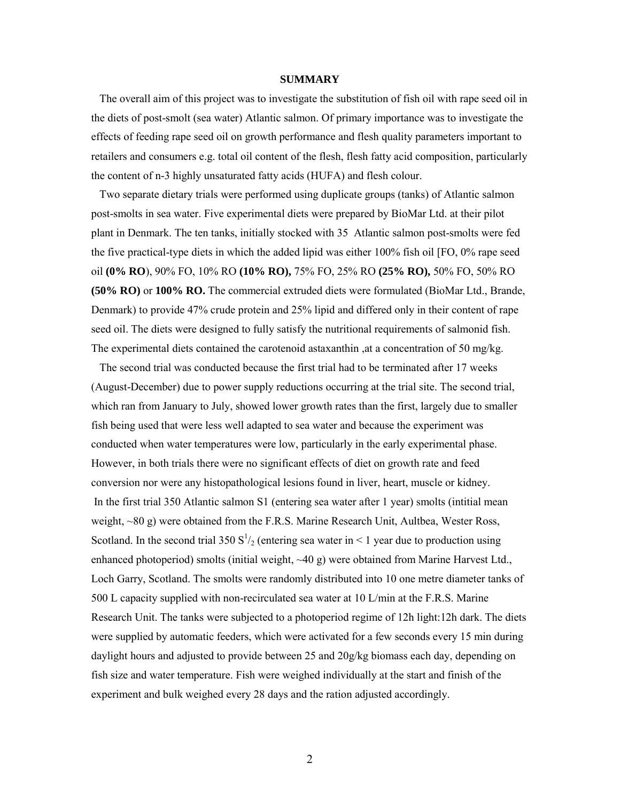#### **SUMMARY**

 The overall aim of this project was to investigate the substitution of fish oil with rape seed oil in the diets of post-smolt (sea water) Atlantic salmon. Of primary importance was to investigate the effects of feeding rape seed oil on growth performance and flesh quality parameters important to retailers and consumers e.g. total oil content of the flesh, flesh fatty acid composition, particularly the content of n-3 highly unsaturated fatty acids (HUFA) and flesh colour.

Two separate dietary trials were performed using duplicate groups (tanks) of Atlantic salmon post-smolts in sea water. Five experimental diets were prepared by BioMar Ltd. at their pilot plant in Denmark. The ten tanks, initially stocked with 35 Atlantic salmon post-smolts were fed the five practical-type diets in which the added lipid was either 100% fish oil [FO, 0% rape seed oil **(0% RO**), 90% FO, 10% RO **(10% RO),** 75% FO, 25% RO **(25% RO),** 50% FO, 50% RO **(50% RO)** or **100% RO.** The commercial extruded diets were formulated (BioMar Ltd., Brande, Denmark) to provide 47% crude protein and 25% lipid and differed only in their content of rape seed oil. The diets were designed to fully satisfy the nutritional requirements of salmonid fish. The experimental diets contained the carotenoid astaxanthin ,at a concentration of 50 mg/kg.

 The second trial was conducted because the first trial had to be terminated after 17 weeks (August-December) due to power supply reductions occurring at the trial site. The second trial, which ran from January to July, showed lower growth rates than the first, largely due to smaller fish being used that were less well adapted to sea water and because the experiment was conducted when water temperatures were low, particularly in the early experimental phase. However, in both trials there were no significant effects of diet on growth rate and feed conversion nor were any histopathological lesions found in liver, heart, muscle or kidney. In the first trial 350 Atlantic salmon S1 (entering sea water after 1 year) smolts (intitial mean weight, ~80 g) were obtained from the F.R.S. Marine Research Unit, Aultbea, Wester Ross, Scotland. In the second trial 350  $S^1/2$  (entering sea water in < 1 year due to production using enhanced photoperiod) smolts (initial weight, ~40 g) were obtained from Marine Harvest Ltd., Loch Garry, Scotland. The smolts were randomly distributed into 10 one metre diameter tanks of 500 L capacity supplied with non-recirculated sea water at 10 L/min at the F.R.S. Marine Research Unit. The tanks were subjected to a photoperiod regime of 12h light:12h dark. The diets were supplied by automatic feeders, which were activated for a few seconds every 15 min during daylight hours and adjusted to provide between 25 and 20g/kg biomass each day, depending on fish size and water temperature. Fish were weighed individually at the start and finish of the experiment and bulk weighed every 28 days and the ration adjusted accordingly.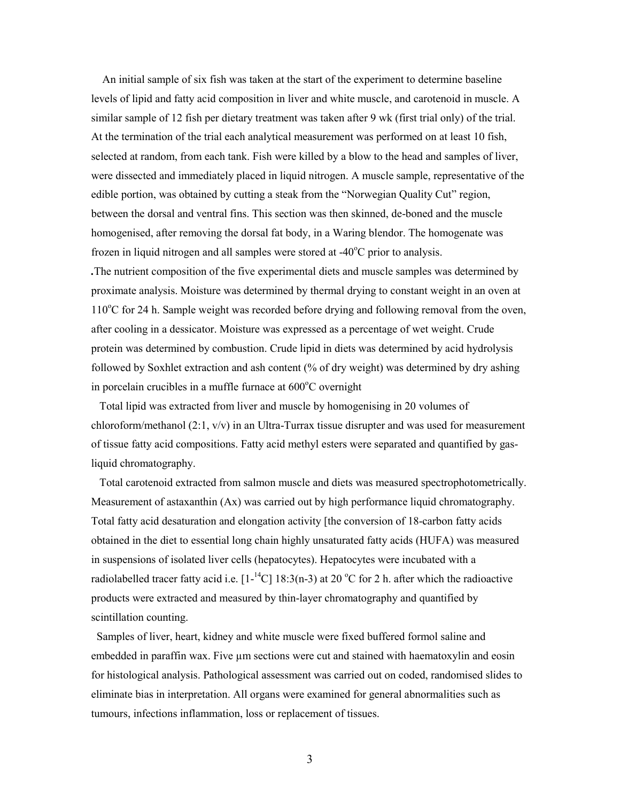An initial sample of six fish was taken at the start of the experiment to determine baseline levels of lipid and fatty acid composition in liver and white muscle, and carotenoid in muscle. A similar sample of 12 fish per dietary treatment was taken after 9 wk (first trial only) of the trial. At the termination of the trial each analytical measurement was performed on at least 10 fish, selected at random, from each tank. Fish were killed by a blow to the head and samples of liver, were dissected and immediately placed in liquid nitrogen. A muscle sample, representative of the edible portion, was obtained by cutting a steak from the "Norwegian Quality Cut" region, between the dorsal and ventral fins. This section was then skinned, de-boned and the muscle homogenised, after removing the dorsal fat body, in a Waring blendor. The homogenate was frozen in liquid nitrogen and all samples were stored at -40°C prior to analysis. *.*The nutrient composition of the five experimental diets and muscle samples was determined by proximate analysis. Moisture was determined by thermal drying to constant weight in an oven at 110°C for 24 h. Sample weight was recorded before drying and following removal from the oven, after cooling in a dessicator. Moisture was expressed as a percentage of wet weight. Crude protein was determined by combustion. Crude lipid in diets was determined by acid hydrolysis followed by Soxhlet extraction and ash content (% of dry weight) was determined by dry ashing

in porcelain crucibles in a muffle furnace at  $600^{\circ}$ C overnight

Total lipid was extracted from liver and muscle by homogenising in 20 volumes of chloroform/methanol  $(2:1, v/v)$  in an Ultra-Turrax tissue disrupter and was used for measurement of tissue fatty acid compositions. Fatty acid methyl esters were separated and quantified by gasliquid chromatography.

Total carotenoid extracted from salmon muscle and diets was measured spectrophotometrically. Measurement of astaxanthin (Ax) was carried out by high performance liquid chromatography. Total fatty acid desaturation and elongation activity [the conversion of 18-carbon fatty acids obtained in the diet to essential long chain highly unsaturated fatty acids (HUFA) was measured in suspensions of isolated liver cells (hepatocytes). Hepatocytes were incubated with a radiolabelled tracer fatty acid i.e.  $[1^{-14}C]$  18:3(n-3) at 20 °C for 2 h. after which the radioactive products were extracted and measured by thin-layer chromatography and quantified by scintillation counting.

Samples of liver, heart, kidney and white muscle were fixed buffered formol saline and embedded in paraffin wax. Five  $\mu$ m sections were cut and stained with haematoxylin and eosin for histological analysis. Pathological assessment was carried out on coded, randomised slides to eliminate bias in interpretation. All organs were examined for general abnormalities such as tumours, infections inflammation, loss or replacement of tissues.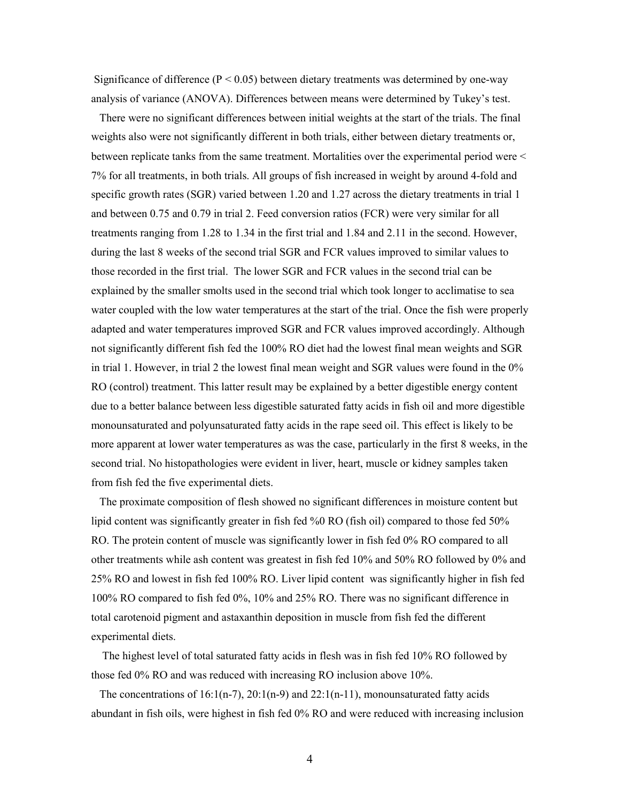Significance of difference ( $P < 0.05$ ) between dietary treatments was determined by one-way analysis of variance (ANOVA). Differences between means were determined by Tukey's test.

 There were no significant differences between initial weights at the start of the trials. The final weights also were not significantly different in both trials, either between dietary treatments or, between replicate tanks from the same treatment. Mortalities over the experimental period were < 7% for all treatments, in both trials. All groups of fish increased in weight by around 4-fold and specific growth rates (SGR) varied between 1.20 and 1.27 across the dietary treatments in trial 1 and between 0.75 and 0.79 in trial 2. Feed conversion ratios (FCR) were very similar for all treatments ranging from 1.28 to 1.34 in the first trial and 1.84 and 2.11 in the second. However, during the last 8 weeks of the second trial SGR and FCR values improved to similar values to those recorded in the first trial. The lower SGR and FCR values in the second trial can be explained by the smaller smolts used in the second trial which took longer to acclimatise to sea water coupled with the low water temperatures at the start of the trial. Once the fish were properly adapted and water temperatures improved SGR and FCR values improved accordingly. Although not significantly different fish fed the 100% RO diet had the lowest final mean weights and SGR in trial 1. However, in trial 2 the lowest final mean weight and SGR values were found in the 0% RO (control) treatment. This latter result may be explained by a better digestible energy content due to a better balance between less digestible saturated fatty acids in fish oil and more digestible monounsaturated and polyunsaturated fatty acids in the rape seed oil. This effect is likely to be more apparent at lower water temperatures as was the case, particularly in the first 8 weeks, in the second trial. No histopathologies were evident in liver, heart, muscle or kidney samples taken from fish fed the five experimental diets.

 The proximate composition of flesh showed no significant differences in moisture content but lipid content was significantly greater in fish fed %0 RO (fish oil) compared to those fed 50% RO. The protein content of muscle was significantly lower in fish fed 0% RO compared to all other treatments while ash content was greatest in fish fed 10% and 50% RO followed by 0% and 25% RO and lowest in fish fed 100% RO. Liver lipid content was significantly higher in fish fed 100% RO compared to fish fed 0%, 10% and 25% RO. There was no significant difference in total carotenoid pigment and astaxanthin deposition in muscle from fish fed the different experimental diets.

 The highest level of total saturated fatty acids in flesh was in fish fed 10% RO followed by those fed 0% RO and was reduced with increasing RO inclusion above 10%.

The concentrations of  $16:1(n-7)$ ,  $20:1(n-9)$  and  $22:1(n-11)$ , monounsaturated fatty acids abundant in fish oils, were highest in fish fed 0% RO and were reduced with increasing inclusion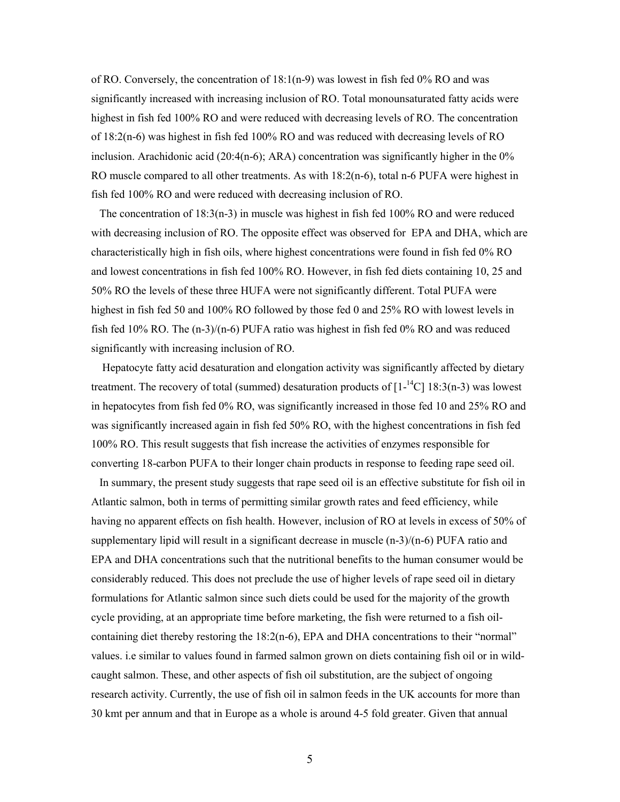of RO. Conversely, the concentration of 18:1(n-9) was lowest in fish fed 0% RO and was significantly increased with increasing inclusion of RO. Total monounsaturated fatty acids were highest in fish fed 100% RO and were reduced with decreasing levels of RO. The concentration of 18:2(n-6) was highest in fish fed 100% RO and was reduced with decreasing levels of RO inclusion. Arachidonic acid (20:4(n-6); ARA) concentration was significantly higher in the  $0\%$ RO muscle compared to all other treatments. As with 18:2(n-6), total n-6 PUFA were highest in fish fed 100% RO and were reduced with decreasing inclusion of RO.

The concentration of  $18:3(n-3)$  in muscle was highest in fish fed 100% RO and were reduced with decreasing inclusion of RO. The opposite effect was observed for EPA and DHA, which are characteristically high in fish oils, where highest concentrations were found in fish fed 0% RO and lowest concentrations in fish fed 100% RO. However, in fish fed diets containing 10, 25 and 50% RO the levels of these three HUFA were not significantly different. Total PUFA were highest in fish fed 50 and 100% RO followed by those fed 0 and 25% RO with lowest levels in fish fed 10% RO. The (n-3)/(n-6) PUFA ratio was highest in fish fed 0% RO and was reduced significantly with increasing inclusion of RO.

 Hepatocyte fatty acid desaturation and elongation activity was significantly affected by dietary treatment. The recovery of total (summed) desaturation products of  $[1^{-14}C]$  18:3(n-3) was lowest in hepatocytes from fish fed 0% RO, was significantly increased in those fed 10 and 25% RO and was significantly increased again in fish fed 50% RO, with the highest concentrations in fish fed 100% RO. This result suggests that fish increase the activities of enzymes responsible for converting 18-carbon PUFA to their longer chain products in response to feeding rape seed oil.

In summary, the present study suggests that rape seed oil is an effective substitute for fish oil in Atlantic salmon, both in terms of permitting similar growth rates and feed efficiency, while having no apparent effects on fish health. However, inclusion of RO at levels in excess of 50% of supplementary lipid will result in a significant decrease in muscle  $(n-3)/(n-6)$  PUFA ratio and EPA and DHA concentrations such that the nutritional benefits to the human consumer would be considerably reduced. This does not preclude the use of higher levels of rape seed oil in dietary formulations for Atlantic salmon since such diets could be used for the majority of the growth cycle providing, at an appropriate time before marketing, the fish were returned to a fish oilcontaining diet thereby restoring the 18:2(n-6), EPA and DHA concentrations to their "normal" values. i.e similar to values found in farmed salmon grown on diets containing fish oil or in wildcaught salmon. These, and other aspects of fish oil substitution, are the subject of ongoing research activity. Currently, the use of fish oil in salmon feeds in the UK accounts for more than 30 kmt per annum and that in Europe as a whole is around 4-5 fold greater. Given that annual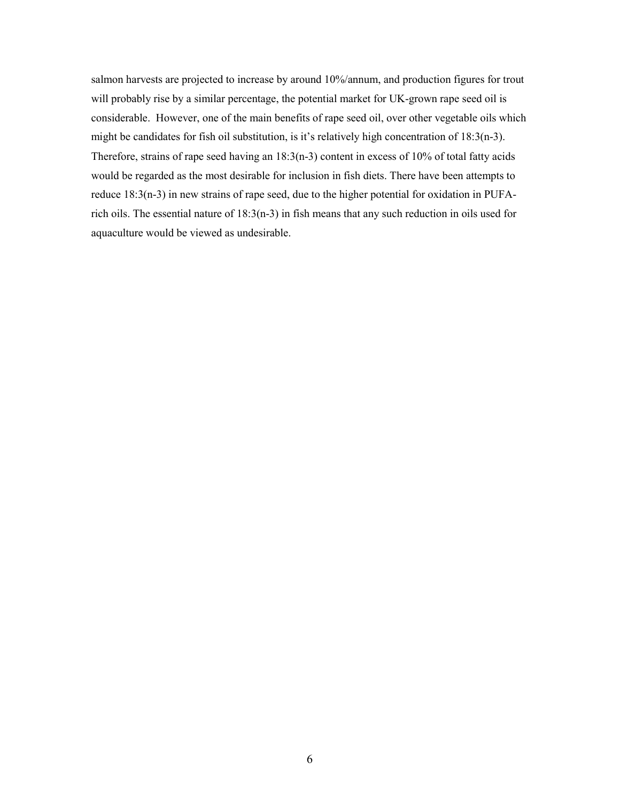salmon harvests are projected to increase by around 10%/annum, and production figures for trout will probably rise by a similar percentage, the potential market for UK-grown rape seed oil is considerable. However, one of the main benefits of rape seed oil, over other vegetable oils which might be candidates for fish oil substitution, is it's relatively high concentration of 18:3(n-3). Therefore, strains of rape seed having an 18:3(n-3) content in excess of 10% of total fatty acids would be regarded as the most desirable for inclusion in fish diets. There have been attempts to reduce 18:3(n-3) in new strains of rape seed, due to the higher potential for oxidation in PUFArich oils. The essential nature of 18:3(n-3) in fish means that any such reduction in oils used for aquaculture would be viewed as undesirable.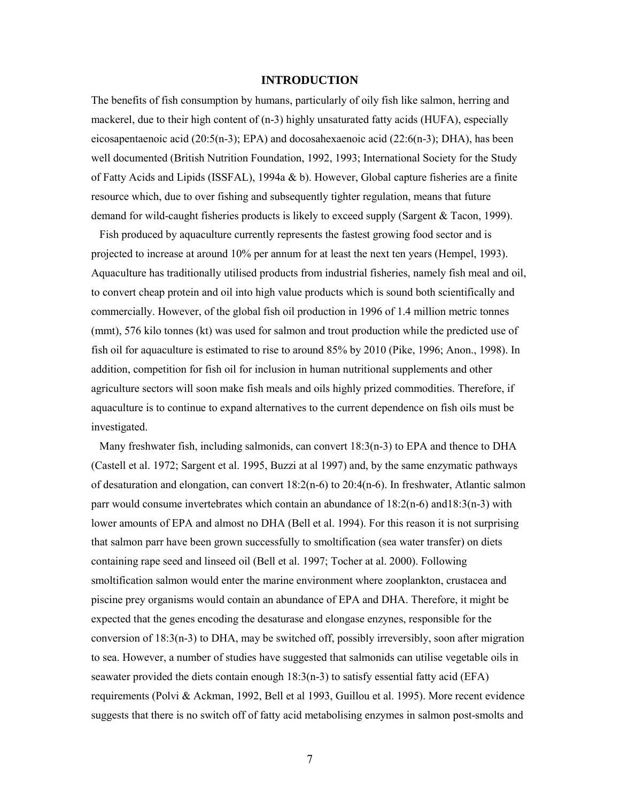## **INTRODUCTION**

The benefits of fish consumption by humans, particularly of oily fish like salmon, herring and mackerel, due to their high content of (n-3) highly unsaturated fatty acids (HUFA), especially eicosapentaenoic acid  $(20:5(n-3))$ ; EPA) and docosahexaenoic acid  $(22:6(n-3))$ ; DHA), has been well documented (British Nutrition Foundation, 1992, 1993; International Society for the Study of Fatty Acids and Lipids (ISSFAL), 1994a  $\&$  b). However, Global capture fisheries are a finite resource which, due to over fishing and subsequently tighter regulation, means that future demand for wild-caught fisheries products is likely to exceed supply (Sargent & Tacon, 1999).

 Fish produced by aquaculture currently represents the fastest growing food sector and is projected to increase at around 10% per annum for at least the next ten years (Hempel, 1993). Aquaculture has traditionally utilised products from industrial fisheries, namely fish meal and oil, to convert cheap protein and oil into high value products which is sound both scientifically and commercially. However, of the global fish oil production in 1996 of 1.4 million metric tonnes (mmt), 576 kilo tonnes (kt) was used for salmon and trout production while the predicted use of fish oil for aquaculture is estimated to rise to around 85% by 2010 (Pike, 1996; Anon., 1998). In addition, competition for fish oil for inclusion in human nutritional supplements and other agriculture sectors will soon make fish meals and oils highly prized commodities. Therefore, if aquaculture is to continue to expand alternatives to the current dependence on fish oils must be investigated.

Many freshwater fish, including salmonids, can convert 18:3(n-3) to EPA and thence to DHA (Castell et al. 1972; Sargent et al. 1995, Buzzi at al 1997) and, by the same enzymatic pathways of desaturation and elongation, can convert 18:2(n-6) to 20:4(n-6). In freshwater, Atlantic salmon parr would consume invertebrates which contain an abundance of 18:2(n-6) and18:3(n-3) with lower amounts of EPA and almost no DHA (Bell et al. 1994). For this reason it is not surprising that salmon parr have been grown successfully to smoltification (sea water transfer) on diets containing rape seed and linseed oil (Bell et al. 1997; Tocher at al. 2000). Following smoltification salmon would enter the marine environment where zooplankton, crustacea and piscine prey organisms would contain an abundance of EPA and DHA. Therefore, it might be expected that the genes encoding the desaturase and elongase enzynes, responsible for the conversion of  $18:3(n-3)$  to DHA, may be switched off, possibly irreversibly, soon after migration to sea. However, a number of studies have suggested that salmonids can utilise vegetable oils in seawater provided the diets contain enough  $18:3(n-3)$  to satisfy essential fatty acid (EFA) requirements (Polvi & Ackman, 1992, Bell et al 1993, Guillou et al. 1995). More recent evidence suggests that there is no switch off of fatty acid metabolising enzymes in salmon post-smolts and

7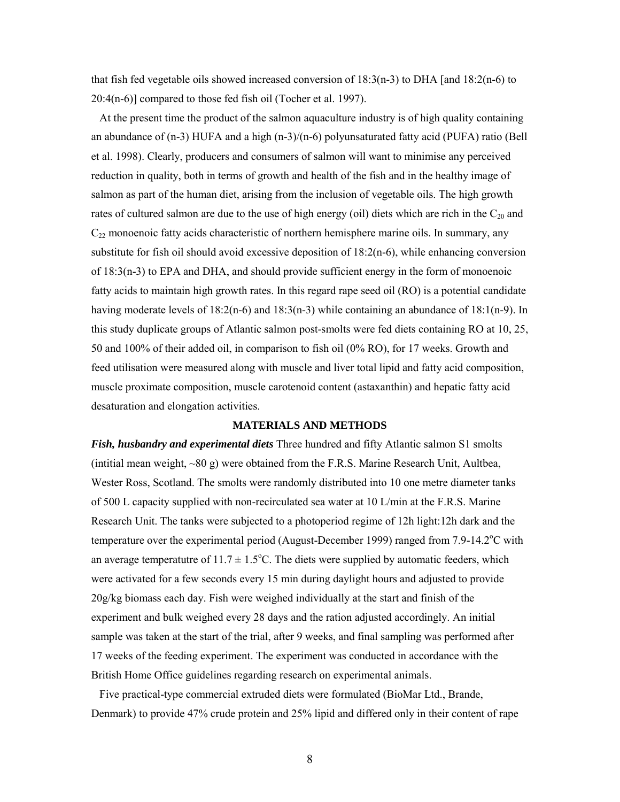that fish fed vegetable oils showed increased conversion of 18:3(n-3) to DHA [and 18:2(n-6) to 20:4(n-6)] compared to those fed fish oil (Tocher et al. 1997).

 At the present time the product of the salmon aquaculture industry is of high quality containing an abundance of (n-3) HUFA and a high (n-3)/(n-6) polyunsaturated fatty acid (PUFA) ratio (Bell et al. 1998). Clearly, producers and consumers of salmon will want to minimise any perceived reduction in quality, both in terms of growth and health of the fish and in the healthy image of salmon as part of the human diet, arising from the inclusion of vegetable oils. The high growth rates of cultured salmon are due to the use of high energy (oil) diets which are rich in the  $C_{20}$  and  $C_{22}$  monoenoic fatty acids characteristic of northern hemisphere marine oils. In summary, any substitute for fish oil should avoid excessive deposition of  $18:2(n-6)$ , while enhancing conversion of 18:3(n-3) to EPA and DHA, and should provide sufficient energy in the form of monoenoic fatty acids to maintain high growth rates. In this regard rape seed oil (RO) is a potential candidate having moderate levels of  $18:2(n-6)$  and  $18:3(n-3)$  while containing an abundance of  $18:1(n-9)$ . In this study duplicate groups of Atlantic salmon post-smolts were fed diets containing RO at 10, 25, 50 and 100% of their added oil, in comparison to fish oil (0% RO), for 17 weeks. Growth and feed utilisation were measured along with muscle and liver total lipid and fatty acid composition, muscle proximate composition, muscle carotenoid content (astaxanthin) and hepatic fatty acid desaturation and elongation activities.

#### **MATERIALS AND METHODS**

*Fish, husbandry and experimental diets* Three hundred and fifty Atlantic salmon S1 smolts (intitial mean weight,  $\sim 80$  g) were obtained from the F.R.S. Marine Research Unit, Aultbea, Wester Ross, Scotland. The smolts were randomly distributed into 10 one metre diameter tanks of 500 L capacity supplied with non-recirculated sea water at 10 L/min at the F.R.S. Marine Research Unit. The tanks were subjected to a photoperiod regime of 12h light:12h dark and the temperature over the experimental period (August-December 1999) ranged from  $7.9$ -14.2 $^{\circ}$ C with an average temperatutre of  $11.7 \pm 1.5^{\circ}$ C. The diets were supplied by automatic feeders, which were activated for a few seconds every 15 min during daylight hours and adjusted to provide 20g/kg biomass each day. Fish were weighed individually at the start and finish of the experiment and bulk weighed every 28 days and the ration adjusted accordingly. An initial sample was taken at the start of the trial, after 9 weeks, and final sampling was performed after 17 weeks of the feeding experiment. The experiment was conducted in accordance with the British Home Office guidelines regarding research on experimental animals.

 Five practical-type commercial extruded diets were formulated (BioMar Ltd., Brande, Denmark) to provide 47% crude protein and 25% lipid and differed only in their content of rape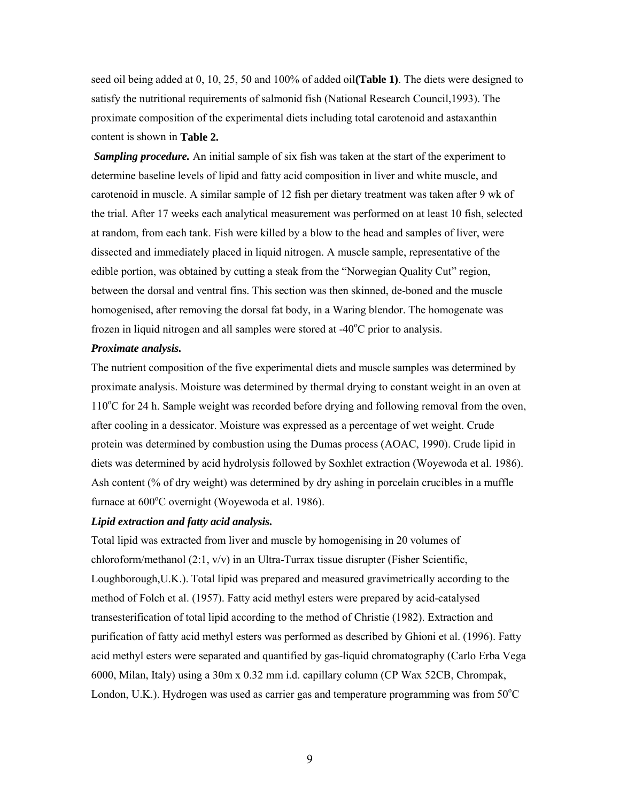seed oil being added at 0, 10, 25, 50 and 100% of added oil**(Table 1)**. The diets were designed to satisfy the nutritional requirements of salmonid fish (National Research Council,1993). The proximate composition of the experimental diets including total carotenoid and astaxanthin content is shown in **Table 2.**

*Sampling procedure.* An initial sample of six fish was taken at the start of the experiment to determine baseline levels of lipid and fatty acid composition in liver and white muscle, and carotenoid in muscle. A similar sample of 12 fish per dietary treatment was taken after 9 wk of the trial. After 17 weeks each analytical measurement was performed on at least 10 fish, selected at random, from each tank. Fish were killed by a blow to the head and samples of liver, were dissected and immediately placed in liquid nitrogen. A muscle sample, representative of the edible portion, was obtained by cutting a steak from the "Norwegian Quality Cut" region, between the dorsal and ventral fins. This section was then skinned, de-boned and the muscle homogenised, after removing the dorsal fat body, in a Waring blendor. The homogenate was frozen in liquid nitrogen and all samples were stored at -40°C prior to analysis.

#### *Proximate analysis.*

The nutrient composition of the five experimental diets and muscle samples was determined by proximate analysis. Moisture was determined by thermal drying to constant weight in an oven at 110°C for 24 h. Sample weight was recorded before drying and following removal from the oven, after cooling in a dessicator. Moisture was expressed as a percentage of wet weight. Crude protein was determined by combustion using the Dumas process (AOAC, 1990). Crude lipid in diets was determined by acid hydrolysis followed by Soxhlet extraction (Woyewoda et al. 1986). Ash content (% of dry weight) was determined by dry ashing in porcelain crucibles in a muffle furnace at 600°C overnight (Woyewoda et al. 1986).

#### *Lipid extraction and fatty acid analysis.*

Total lipid was extracted from liver and muscle by homogenising in 20 volumes of chloroform/methanol  $(2:1, v/v)$  in an Ultra-Turrax tissue disrupter (Fisher Scientific, Loughborough,U.K.). Total lipid was prepared and measured gravimetrically according to the method of Folch et al. (1957). Fatty acid methyl esters were prepared by acid-catalysed transesterification of total lipid according to the method of Christie (1982). Extraction and purification of fatty acid methyl esters was performed as described by Ghioni et al. (1996). Fatty acid methyl esters were separated and quantified by gas-liquid chromatography (Carlo Erba Vega 6000, Milan, Italy) using a 30m x 0.32 mm i.d. capillary column (CP Wax 52CB, Chrompak, London, U.K.). Hydrogen was used as carrier gas and temperature programming was from  $50^{\circ}$ C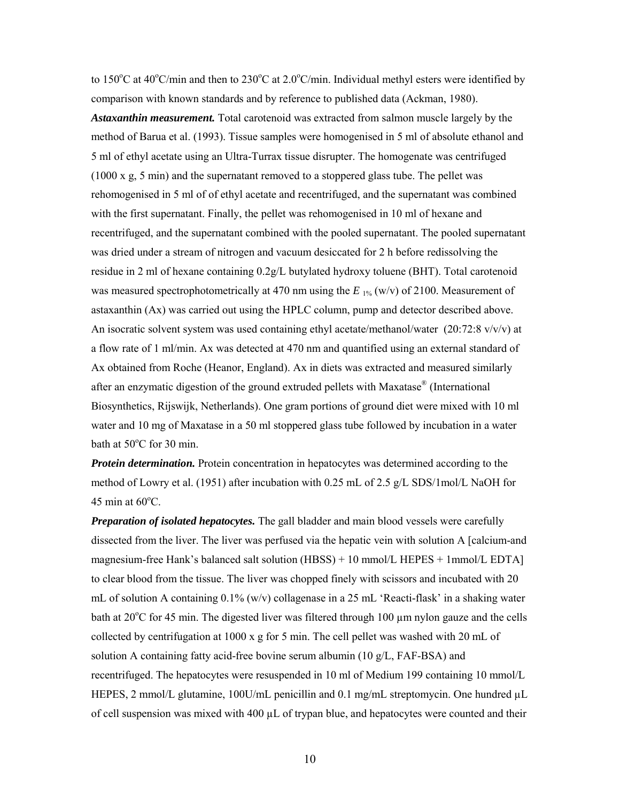to 150°C at 40°C/min and then to 230°C at 2.0°C/min. Individual methyl esters were identified by comparison with known standards and by reference to published data (Ackman, 1980). *Astaxanthin measurement.* Total carotenoid was extracted from salmon muscle largely by the method of Barua et al. (1993). Tissue samples were homogenised in 5 ml of absolute ethanol and 5 ml of ethyl acetate using an Ultra-Turrax tissue disrupter. The homogenate was centrifuged (1000 x g, 5 min) and the supernatant removed to a stoppered glass tube. The pellet was rehomogenised in 5 ml of of ethyl acetate and recentrifuged, and the supernatant was combined with the first supernatant. Finally, the pellet was rehomogenised in 10 ml of hexane and recentrifuged, and the supernatant combined with the pooled supernatant. The pooled supernatant was dried under a stream of nitrogen and vacuum desiccated for 2 h before redissolving the residue in 2 ml of hexane containing 0.2g/L butylated hydroxy toluene (BHT). Total carotenoid was measured spectrophotometrically at 470 nm using the  $E_{1\%}$  (w/v) of 2100. Measurement of astaxanthin (Ax) was carried out using the HPLC column, pump and detector described above. An isocratic solvent system was used containing ethyl acetate/methanol/water  $(20:72:8 \text{ v/v/v})$  at a flow rate of 1 ml/min. Ax was detected at 470 nm and quantified using an external standard of Ax obtained from Roche (Heanor, England). Ax in diets was extracted and measured similarly after an enzymatic digestion of the ground extruded pellets with Maxatase® (International Biosynthetics, Rijswijk, Netherlands). One gram portions of ground diet were mixed with 10 ml water and 10 mg of Maxatase in a 50 ml stoppered glass tube followed by incubation in a water bath at 50°C for 30 min.

*Protein determination.* Protein concentration in hepatocytes was determined according to the method of Lowry et al. (1951) after incubation with 0.25 mL of 2.5 g/L SDS/1mol/L NaOH for 45 min at  $60^{\circ}$ C.

*Preparation of isolated hepatocytes.* The gall bladder and main blood vessels were carefully dissected from the liver. The liver was perfused via the hepatic vein with solution A [calcium-and magnesium-free Hank's balanced salt solution (HBSS) + 10 mmol/L HEPES + 1mmol/L EDTA] to clear blood from the tissue. The liver was chopped finely with scissors and incubated with 20 mL of solution A containing  $0.1\%$  (w/v) collagenase in a 25 mL 'Reacti-flask' in a shaking water bath at  $20^{\circ}$ C for 45 min. The digested liver was filtered through 100  $\mu$ m nylon gauze and the cells collected by centrifugation at 1000 x g for 5 min. The cell pellet was washed with 20 mL of solution A containing fatty acid-free bovine serum albumin (10 g/L, FAF-BSA) and recentrifuged. The hepatocytes were resuspended in 10 ml of Medium 199 containing 10 mmol/L HEPES, 2 mmol/L glutamine, 100U/mL penicillin and 0.1 mg/mL streptomycin. One hundred  $\mu$ L of cell suspension was mixed with  $400 \mu L$  of trypan blue, and hepatocytes were counted and their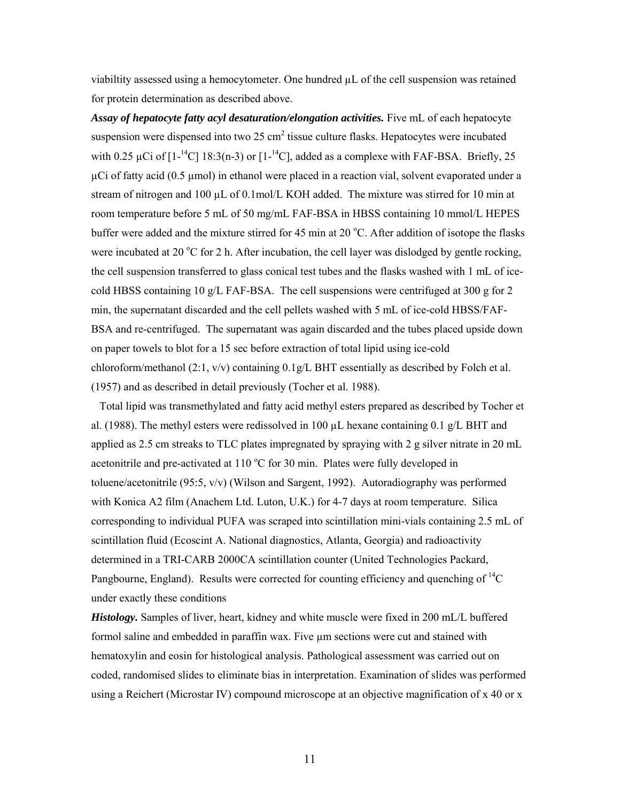viabiltity assessed using a hemocytometer. One hundred µL of the cell suspension was retained for protein determination as described above.

Assay of hepatocyte fatty acyl desaturation/elongation activities. Five mL of each hepatocyte suspension were dispensed into two 25  $\text{cm}^2$  tissue culture flasks. Hepatocytes were incubated with 0.25  $\mu$ Ci of [1<sup>-14</sup>C] 18:3(n-3) or [1<sup>-14</sup>C], added as a complexe with FAF-BSA. Briefly, 25  $\mu$ Ci of fatty acid (0.5  $\mu$ mol) in ethanol were placed in a reaction vial, solvent evaporated under a stream of nitrogen and 100  $\mu$ L of 0.1mol/L KOH added. The mixture was stirred for 10 min at room temperature before 5 mL of 50 mg/mL FAF-BSA in HBSS containing 10 mmol/L HEPES buffer were added and the mixture stirred for 45 min at 20 °C. After addition of isotope the flasks were incubated at 20 °C for 2 h. After incubation, the cell layer was dislodged by gentle rocking, the cell suspension transferred to glass conical test tubes and the flasks washed with 1 mL of icecold HBSS containing 10 g/L FAF-BSA. The cell suspensions were centrifuged at 300 g for 2 min, the supernatant discarded and the cell pellets washed with 5 mL of ice-cold HBSS/FAF-BSA and re-centrifuged. The supernatant was again discarded and the tubes placed upside down on paper towels to blot for a 15 sec before extraction of total lipid using ice-cold chloroform/methanol (2:1, v/v) containing 0.1g/L BHT essentially as described by Folch et al. (1957) and as described in detail previously (Tocher et al. 1988).

 Total lipid was transmethylated and fatty acid methyl esters prepared as described by Tocher et al. (1988). The methyl esters were redissolved in 100 µL hexane containing 0.1 g/L BHT and applied as 2.5 cm streaks to TLC plates impregnated by spraying with 2 g silver nitrate in 20 mL acetonitrile and pre-activated at  $110\text{ °C}$  for 30 min. Plates were fully developed in toluene/acetonitrile (95:5, v/v) (Wilson and Sargent, 1992). Autoradiography was performed with Konica A2 film (Anachem Ltd. Luton, U.K.) for 4-7 days at room temperature. Silica corresponding to individual PUFA was scraped into scintillation mini-vials containing 2.5 mL of scintillation fluid (Ecoscint A. National diagnostics, Atlanta, Georgia) and radioactivity determined in a TRI-CARB 2000CA scintillation counter (United Technologies Packard, Pangbourne, England). Results were corrected for counting efficiency and quenching of  ${}^{14}C$ under exactly these conditions

*Histology.* Samples of liver, heart, kidney and white muscle were fixed in 200 mL/L buffered formol saline and embedded in paraffin wax. Five  $\mu$ m sections were cut and stained with hematoxylin and eosin for histological analysis. Pathological assessment was carried out on coded, randomised slides to eliminate bias in interpretation. Examination of slides was performed using a Reichert (Microstar IV) compound microscope at an objective magnification of x 40 or x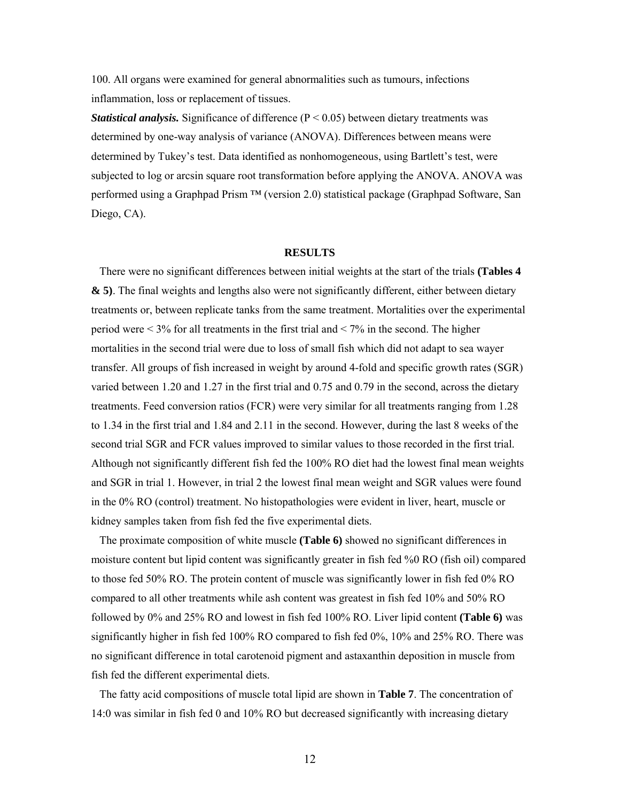100. All organs were examined for general abnormalities such as tumours, infections inflammation, loss or replacement of tissues.

*Statistical analysis.* Significance of difference (P < 0.05) between dietary treatments was determined by one-way analysis of variance (ANOVA). Differences between means were determined by Tukey's test. Data identified as nonhomogeneous, using Bartlett's test, were subjected to log or arcsin square root transformation before applying the ANOVA. ANOVA was performed using a Graphpad Prism ™ (version 2.0) statistical package (Graphpad Software, San Diego, CA).

#### **RESULTS**

 There were no significant differences between initial weights at the start of the trials **(Tables 4 & 5)**. The final weights and lengths also were not significantly different, either between dietary treatments or, between replicate tanks from the same treatment. Mortalities over the experimental period were  $\leq 3\%$  for all treatments in the first trial and  $\leq 7\%$  in the second. The higher mortalities in the second trial were due to loss of small fish which did not adapt to sea wayer transfer. All groups of fish increased in weight by around 4-fold and specific growth rates (SGR) varied between 1.20 and 1.27 in the first trial and 0.75 and 0.79 in the second, across the dietary treatments. Feed conversion ratios (FCR) were very similar for all treatments ranging from 1.28 to 1.34 in the first trial and 1.84 and 2.11 in the second. However, during the last 8 weeks of the second trial SGR and FCR values improved to similar values to those recorded in the first trial. Although not significantly different fish fed the 100% RO diet had the lowest final mean weights and SGR in trial 1. However, in trial 2 the lowest final mean weight and SGR values were found in the 0% RO (control) treatment. No histopathologies were evident in liver, heart, muscle or kidney samples taken from fish fed the five experimental diets.

 The proximate composition of white muscle **(Table 6)** showed no significant differences in moisture content but lipid content was significantly greater in fish fed %0 RO (fish oil) compared to those fed 50% RO. The protein content of muscle was significantly lower in fish fed 0% RO compared to all other treatments while ash content was greatest in fish fed 10% and 50% RO followed by 0% and 25% RO and lowest in fish fed 100% RO. Liver lipid content **(Table 6)** was significantly higher in fish fed 100% RO compared to fish fed 0%, 10% and 25% RO. There was no significant difference in total carotenoid pigment and astaxanthin deposition in muscle from fish fed the different experimental diets.

 The fatty acid compositions of muscle total lipid are shown in **Table 7**. The concentration of 14:0 was similar in fish fed 0 and 10% RO but decreased significantly with increasing dietary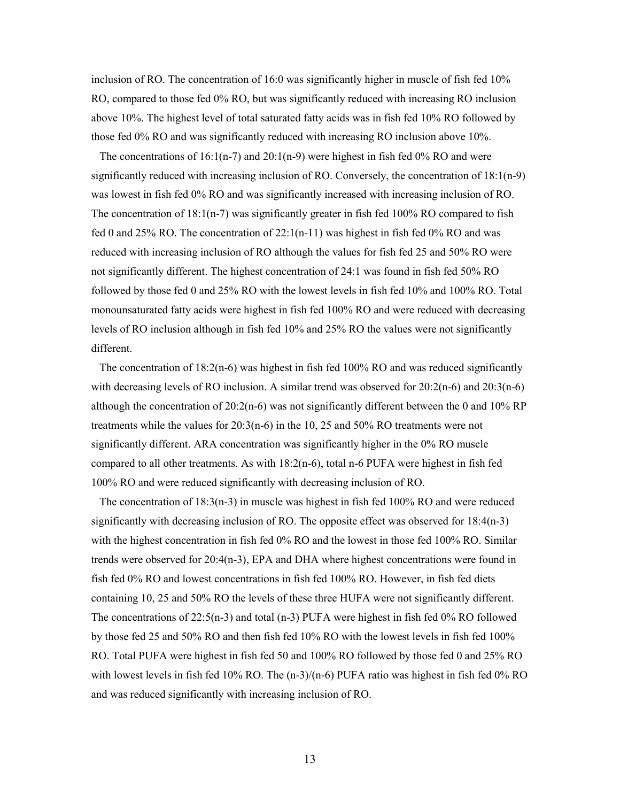inclusion of RO. The concentration of 16:0 was significantly higher in muscle of fish fed 10% RO, compared to those fed 0% RO, but was significantly reduced with increasing RO inclusion above 10%. The highest level of total saturated fatty acids was in fish fed 10% RO followed by those fed 0% RO and was significantly reduced with increasing RO inclusion above 10%.

 The concentrations of 16:1(n-7) and 20:1(n-9) were highest in fish fed 0% RO and were significantly reduced with increasing inclusion of RO. Conversely, the concentration of 18:1(n-9) was lowest in fish fed 0% RO and was significantly increased with increasing inclusion of RO. The concentration of  $18:1(n-7)$  was significantly greater in fish fed  $100\%$  RO compared to fish fed 0 and 25% RO. The concentration of  $22:1(n-11)$  was highest in fish fed 0% RO and was reduced with increasing inclusion of RO although the values for fish fed 25 and 50% RO were not significantly different. The highest concentration of 24:1 was found in fish fed 50% RO followed by those fed 0 and 25% RO with the lowest levels in fish fed 10% and 100% RO. Total monounsaturated fatty acids were highest in fish fed 100% RO and were reduced with decreasing levels of RO inclusion although in fish fed 10% and 25% RO the values were not significantly different.

 The concentration of 18:2(n-6) was highest in fish fed 100% RO and was reduced significantly with decreasing levels of RO inclusion. A similar trend was observed for 20:2(n-6) and 20:3(n-6) although the concentration of  $20:2(n-6)$  was not significantly different between the 0 and  $10\%$  RP treatments while the values for 20:3(n-6) in the 10, 25 and 50% RO treatments were not significantly different. ARA concentration was significantly higher in the 0% RO muscle compared to all other treatments. As with 18:2(n-6), total n-6 PUFA were highest in fish fed 100% RO and were reduced significantly with decreasing inclusion of RO.

The concentration of  $18:3(n-3)$  in muscle was highest in fish fed 100% RO and were reduced significantly with decreasing inclusion of RO. The opposite effect was observed for 18:4(n-3) with the highest concentration in fish fed 0% RO and the lowest in those fed 100% RO. Similar trends were observed for 20:4(n-3), EPA and DHA where highest concentrations were found in fish fed 0% RO and lowest concentrations in fish fed 100% RO. However, in fish fed diets containing 10, 25 and 50% RO the levels of these three HUFA were not significantly different. The concentrations of 22:5(n-3) and total (n-3) PUFA were highest in fish fed 0% RO followed by those fed 25 and 50% RO and then fish fed 10% RO with the lowest levels in fish fed 100% RO. Total PUFA were highest in fish fed 50 and 100% RO followed by those fed 0 and 25% RO with lowest levels in fish fed 10% RO. The  $(n-3)/(n-6)$  PUFA ratio was highest in fish fed 0% RO and was reduced significantly with increasing inclusion of RO.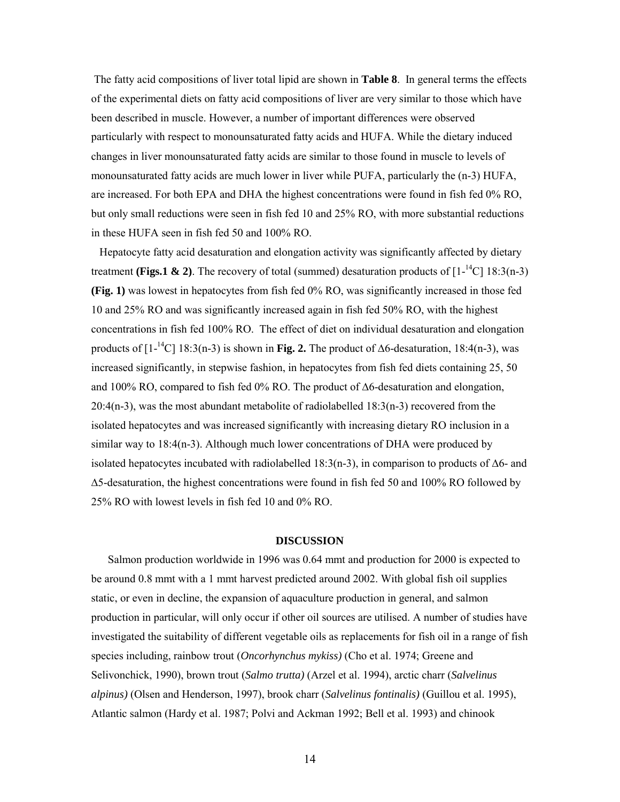The fatty acid compositions of liver total lipid are shown in **Table 8**. In general terms the effects of the experimental diets on fatty acid compositions of liver are very similar to those which have been described in muscle. However, a number of important differences were observed particularly with respect to monounsaturated fatty acids and HUFA. While the dietary induced changes in liver monounsaturated fatty acids are similar to those found in muscle to levels of monounsaturated fatty acids are much lower in liver while PUFA, particularly the (n-3) HUFA, are increased. For both EPA and DHA the highest concentrations were found in fish fed 0% RO, but only small reductions were seen in fish fed 10 and 25% RO, with more substantial reductions in these HUFA seen in fish fed 50 and 100% RO.

 Hepatocyte fatty acid desaturation and elongation activity was significantly affected by dietary treatment **(Figs.1 & 2)**. The recovery of total (summed) desaturation products of  $[1 - {^{14}C} \mid 18:3(n-3)]$ **(Fig. 1)** was lowest in hepatocytes from fish fed 0% RO, was significantly increased in those fed 10 and 25% RO and was significantly increased again in fish fed 50% RO, with the highest concentrations in fish fed 100% RO. The effect of diet on individual desaturation and elongation products of [1<sup>-14</sup>C] 18:3(n-3) is shown in **Fig. 2.** The product of ∆6-desaturation, 18:4(n-3), was increased significantly, in stepwise fashion, in hepatocytes from fish fed diets containing 25, 50 and 100% RO, compared to fish fed 0% RO. The product of ∆6-desaturation and elongation,  $20:4(n-3)$ , was the most abundant metabolite of radiolabelled  $18:3(n-3)$  recovered from the isolated hepatocytes and was increased significantly with increasing dietary RO inclusion in a similar way to 18:4(n-3). Although much lower concentrations of DHA were produced by isolated hepatocytes incubated with radiolabelled 18:3(n-3), in comparison to products of  $\Delta 6$ - and ∆5-desaturation, the highest concentrations were found in fish fed 50 and 100% RO followed by 25% RO with lowest levels in fish fed 10 and 0% RO.

#### **DISCUSSION**

 Salmon production worldwide in 1996 was 0.64 mmt and production for 2000 is expected to be around 0.8 mmt with a 1 mmt harvest predicted around 2002. With global fish oil supplies static, or even in decline, the expansion of aquaculture production in general, and salmon production in particular, will only occur if other oil sources are utilised. A number of studies have investigated the suitability of different vegetable oils as replacements for fish oil in a range of fish species including, rainbow trout (*Oncorhynchus mykiss)* (Cho et al. 1974; Greene and Selivonchick, 1990), brown trout (*Salmo trutta)* (Arzel et al. 1994), arctic charr (*Salvelinus alpinus)* (Olsen and Henderson, 1997), brook charr (*Salvelinus fontinalis)* (Guillou et al. 1995), Atlantic salmon (Hardy et al. 1987; Polvi and Ackman 1992; Bell et al. 1993) and chinook

14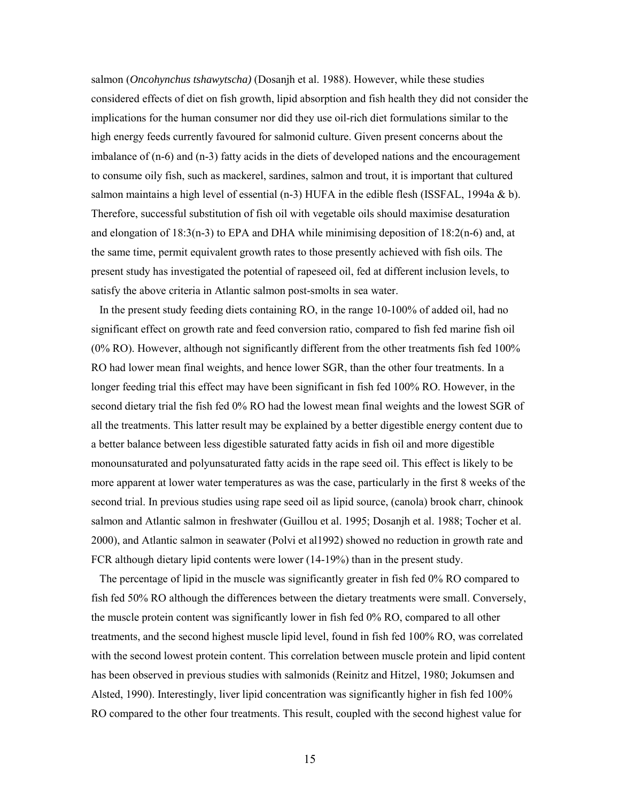salmon (*Oncohynchus tshawytscha)* (Dosanjh et al. 1988). However, while these studies considered effects of diet on fish growth, lipid absorption and fish health they did not consider the implications for the human consumer nor did they use oil-rich diet formulations similar to the high energy feeds currently favoured for salmonid culture. Given present concerns about the imbalance of (n-6) and (n-3) fatty acids in the diets of developed nations and the encouragement to consume oily fish, such as mackerel, sardines, salmon and trout, it is important that cultured salmon maintains a high level of essential  $(n-3)$  HUFA in the edible flesh (ISSFAL, 1994a & b). Therefore, successful substitution of fish oil with vegetable oils should maximise desaturation and elongation of 18:3(n-3) to EPA and DHA while minimising deposition of 18:2(n-6) and, at the same time, permit equivalent growth rates to those presently achieved with fish oils. The present study has investigated the potential of rapeseed oil, fed at different inclusion levels, to satisfy the above criteria in Atlantic salmon post-smolts in sea water.

 In the present study feeding diets containing RO, in the range 10-100% of added oil, had no significant effect on growth rate and feed conversion ratio, compared to fish fed marine fish oil (0% RO). However, although not significantly different from the other treatments fish fed 100% RO had lower mean final weights, and hence lower SGR, than the other four treatments. In a longer feeding trial this effect may have been significant in fish fed 100% RO. However, in the second dietary trial the fish fed 0% RO had the lowest mean final weights and the lowest SGR of all the treatments. This latter result may be explained by a better digestible energy content due to a better balance between less digestible saturated fatty acids in fish oil and more digestible monounsaturated and polyunsaturated fatty acids in the rape seed oil. This effect is likely to be more apparent at lower water temperatures as was the case, particularly in the first 8 weeks of the second trial. In previous studies using rape seed oil as lipid source, (canola) brook charr, chinook salmon and Atlantic salmon in freshwater (Guillou et al. 1995; Dosanjh et al. 1988; Tocher et al. 2000), and Atlantic salmon in seawater (Polvi et al1992) showed no reduction in growth rate and FCR although dietary lipid contents were lower (14-19%) than in the present study.

 The percentage of lipid in the muscle was significantly greater in fish fed 0% RO compared to fish fed 50% RO although the differences between the dietary treatments were small. Conversely, the muscle protein content was significantly lower in fish fed 0% RO, compared to all other treatments, and the second highest muscle lipid level, found in fish fed 100% RO, was correlated with the second lowest protein content. This correlation between muscle protein and lipid content has been observed in previous studies with salmonids (Reinitz and Hitzel, 1980; Jokumsen and Alsted, 1990). Interestingly, liver lipid concentration was significantly higher in fish fed 100% RO compared to the other four treatments. This result, coupled with the second highest value for

15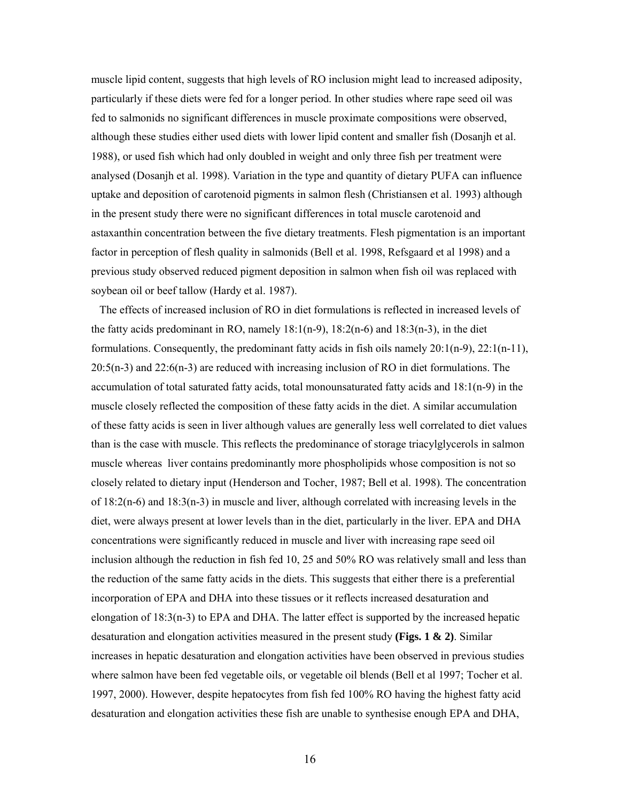muscle lipid content, suggests that high levels of RO inclusion might lead to increased adiposity, particularly if these diets were fed for a longer period. In other studies where rape seed oil was fed to salmonids no significant differences in muscle proximate compositions were observed, although these studies either used diets with lower lipid content and smaller fish (Dosanjh et al. 1988), or used fish which had only doubled in weight and only three fish per treatment were analysed (Dosanjh et al. 1998). Variation in the type and quantity of dietary PUFA can influence uptake and deposition of carotenoid pigments in salmon flesh (Christiansen et al. 1993) although in the present study there were no significant differences in total muscle carotenoid and astaxanthin concentration between the five dietary treatments. Flesh pigmentation is an important factor in perception of flesh quality in salmonids (Bell et al. 1998, Refsgaard et al 1998) and a previous study observed reduced pigment deposition in salmon when fish oil was replaced with soybean oil or beef tallow (Hardy et al. 1987).

 The effects of increased inclusion of RO in diet formulations is reflected in increased levels of the fatty acids predominant in RO, namely  $18:1(n-9)$ ,  $18:2(n-6)$  and  $18:3(n-3)$ , in the diet formulations. Consequently, the predominant fatty acids in fish oils namely  $20:1(n-9)$ ,  $22:1(n-11)$ , 20:5(n-3) and 22:6(n-3) are reduced with increasing inclusion of RO in diet formulations. The accumulation of total saturated fatty acids, total monounsaturated fatty acids and 18:1(n-9) in the muscle closely reflected the composition of these fatty acids in the diet. A similar accumulation of these fatty acids is seen in liver although values are generally less well correlated to diet values than is the case with muscle. This reflects the predominance of storage triacylglycerols in salmon muscle whereas liver contains predominantly more phospholipids whose composition is not so closely related to dietary input (Henderson and Tocher, 1987; Bell et al. 1998). The concentration of  $18:2(n-6)$  and  $18:3(n-3)$  in muscle and liver, although correlated with increasing levels in the diet, were always present at lower levels than in the diet, particularly in the liver. EPA and DHA concentrations were significantly reduced in muscle and liver with increasing rape seed oil inclusion although the reduction in fish fed 10, 25 and 50% RO was relatively small and less than the reduction of the same fatty acids in the diets. This suggests that either there is a preferential incorporation of EPA and DHA into these tissues or it reflects increased desaturation and elongation of 18:3(n-3) to EPA and DHA. The latter effect is supported by the increased hepatic desaturation and elongation activities measured in the present study **(Figs. 1 & 2)**. Similar increases in hepatic desaturation and elongation activities have been observed in previous studies where salmon have been fed vegetable oils, or vegetable oil blends (Bell et al 1997; Tocher et al. 1997, 2000). However, despite hepatocytes from fish fed 100% RO having the highest fatty acid desaturation and elongation activities these fish are unable to synthesise enough EPA and DHA,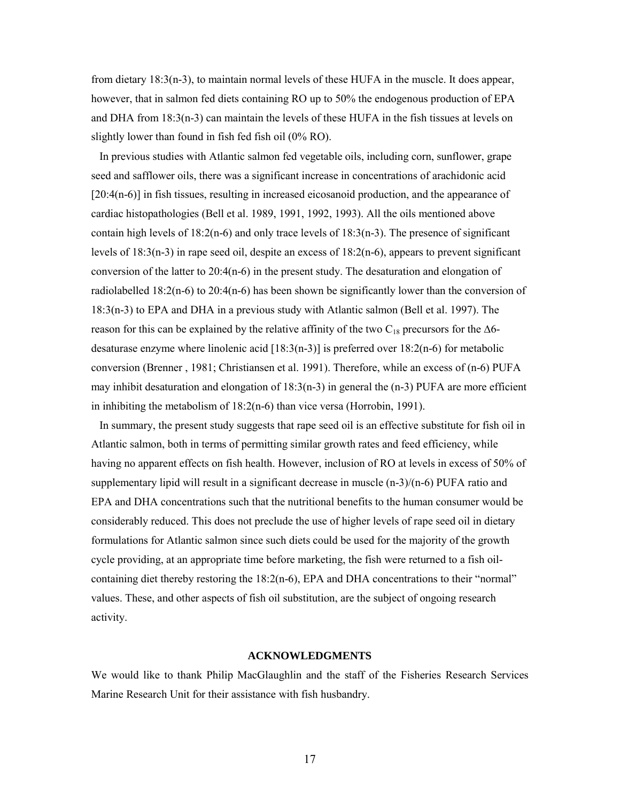from dietary 18:3(n-3), to maintain normal levels of these HUFA in the muscle. It does appear, however, that in salmon fed diets containing RO up to 50% the endogenous production of EPA and DHA from 18:3(n-3) can maintain the levels of these HUFA in the fish tissues at levels on slightly lower than found in fish fed fish oil (0% RO).

 In previous studies with Atlantic salmon fed vegetable oils, including corn, sunflower, grape seed and safflower oils, there was a significant increase in concentrations of arachidonic acid [20:4(n-6)] in fish tissues, resulting in increased eicosanoid production, and the appearance of cardiac histopathologies (Bell et al. 1989, 1991, 1992, 1993). All the oils mentioned above contain high levels of  $18:2(n-6)$  and only trace levels of  $18:3(n-3)$ . The presence of significant levels of 18:3(n-3) in rape seed oil, despite an excess of 18:2(n-6), appears to prevent significant conversion of the latter to  $20:4(n-6)$  in the present study. The desaturation and elongation of radiolabelled 18:2(n-6) to 20:4(n-6) has been shown be significantly lower than the conversion of 18:3(n-3) to EPA and DHA in a previous study with Atlantic salmon (Bell et al. 1997). The reason for this can be explained by the relative affinity of the two C<sub>18</sub> precursors for the  $\Delta$ 6desaturase enzyme where linolenic acid [18:3(n-3)] is preferred over 18:2(n-6) for metabolic conversion (Brenner , 1981; Christiansen et al. 1991). Therefore, while an excess of (n-6) PUFA may inhibit desaturation and elongation of  $18:3(n-3)$  in general the  $(n-3)$  PUFA are more efficient in inhibiting the metabolism of 18:2(n-6) than vice versa (Horrobin, 1991).

 In summary, the present study suggests that rape seed oil is an effective substitute for fish oil in Atlantic salmon, both in terms of permitting similar growth rates and feed efficiency, while having no apparent effects on fish health. However, inclusion of RO at levels in excess of 50% of supplementary lipid will result in a significant decrease in muscle  $(n-3)/(n-6)$  PUFA ratio and EPA and DHA concentrations such that the nutritional benefits to the human consumer would be considerably reduced. This does not preclude the use of higher levels of rape seed oil in dietary formulations for Atlantic salmon since such diets could be used for the majority of the growth cycle providing, at an appropriate time before marketing, the fish were returned to a fish oilcontaining diet thereby restoring the 18:2(n-6), EPA and DHA concentrations to their "normal" values. These, and other aspects of fish oil substitution, are the subject of ongoing research activity.

#### **ACKNOWLEDGMENTS**

We would like to thank Philip MacGlaughlin and the staff of the Fisheries Research Services Marine Research Unit for their assistance with fish husbandry.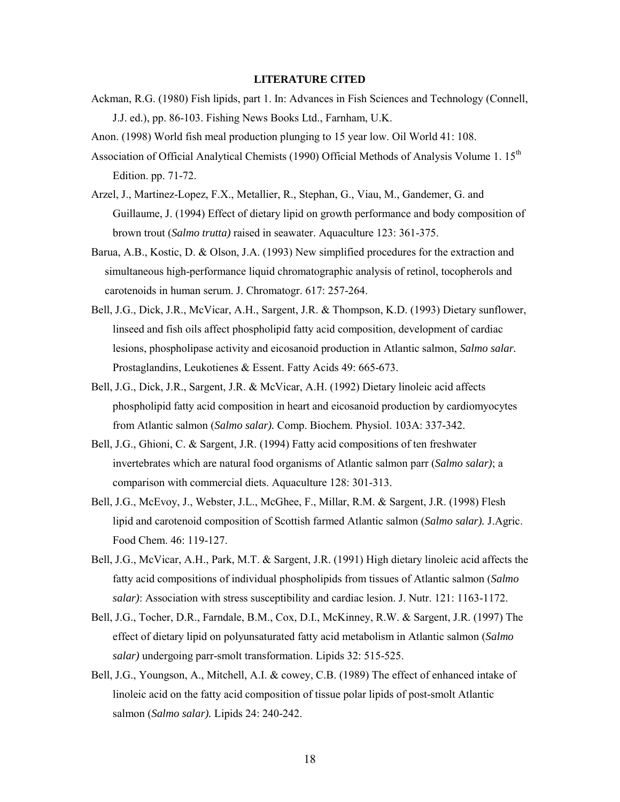#### **LITERATURE CITED**

- Ackman, R.G. (1980) Fish lipids, part 1. In: Advances in Fish Sciences and Technology (Connell, J.J. ed.), pp. 86-103. Fishing News Books Ltd., Farnham, U.K.
- Anon. (1998) World fish meal production plunging to 15 year low. Oil World 41: 108.
- Association of Official Analytical Chemists (1990) Official Methods of Analysis Volume 1. 15<sup>th</sup> Edition. pp. 71-72.
- Arzel, J., Martinez-Lopez, F.X., Metallier, R., Stephan, G., Viau, M., Gandemer, G. and Guillaume, J. (1994) Effect of dietary lipid on growth performance and body composition of brown trout (*Salmo trutta)* raised in seawater. Aquaculture 123: 361-375.
- Barua, A.B., Kostic, D. & Olson, J.A. (1993) New simplified procedures for the extraction and simultaneous high-performance liquid chromatographic analysis of retinol, tocopherols and carotenoids in human serum. J. Chromatogr. 617: 257-264.
- Bell, J.G., Dick, J.R., McVicar, A.H., Sargent, J.R. & Thompson, K.D. (1993) Dietary sunflower, linseed and fish oils affect phospholipid fatty acid composition, development of cardiac lesions, phospholipase activity and eicosanoid production in Atlantic salmon, *Salmo salar.* Prostaglandins, Leukotienes & Essent. Fatty Acids 49: 665-673.
- Bell, J.G., Dick, J.R., Sargent, J.R. & McVicar, A.H. (1992) Dietary linoleic acid affects phospholipid fatty acid composition in heart and eicosanoid production by cardiomyocytes from Atlantic salmon (*Salmo salar).* Comp. Biochem. Physiol. 103A: 337-342.
- Bell, J.G., Ghioni, C. & Sargent, J.R. (1994) Fatty acid compositions of ten freshwater invertebrates which are natural food organisms of Atlantic salmon parr (*Salmo salar)*; a comparison with commercial diets. Aquaculture 128: 301-313.
- Bell, J.G., McEvoy, J., Webster, J.L., McGhee, F., Millar, R.M. & Sargent, J.R. (1998) Flesh lipid and carotenoid composition of Scottish farmed Atlantic salmon (*Salmo salar).* J.Agric. Food Chem. 46: 119-127.
- Bell, J.G., McVicar, A.H., Park, M.T. & Sargent, J.R. (1991) High dietary linoleic acid affects the fatty acid compositions of individual phospholipids from tissues of Atlantic salmon (*Salmo salar)*: Association with stress susceptibility and cardiac lesion. J. Nutr. 121: 1163-1172.
- Bell, J.G., Tocher, D.R., Farndale, B.M., Cox, D.I., McKinney, R.W. & Sargent, J.R. (1997) The effect of dietary lipid on polyunsaturated fatty acid metabolism in Atlantic salmon (*Salmo salar)* undergoing parr-smolt transformation. Lipids 32: 515-525.
- Bell, J.G., Youngson, A., Mitchell, A.I. & cowey, C.B. (1989) The effect of enhanced intake of linoleic acid on the fatty acid composition of tissue polar lipids of post-smolt Atlantic salmon (*Salmo salar).* Lipids 24: 240-242.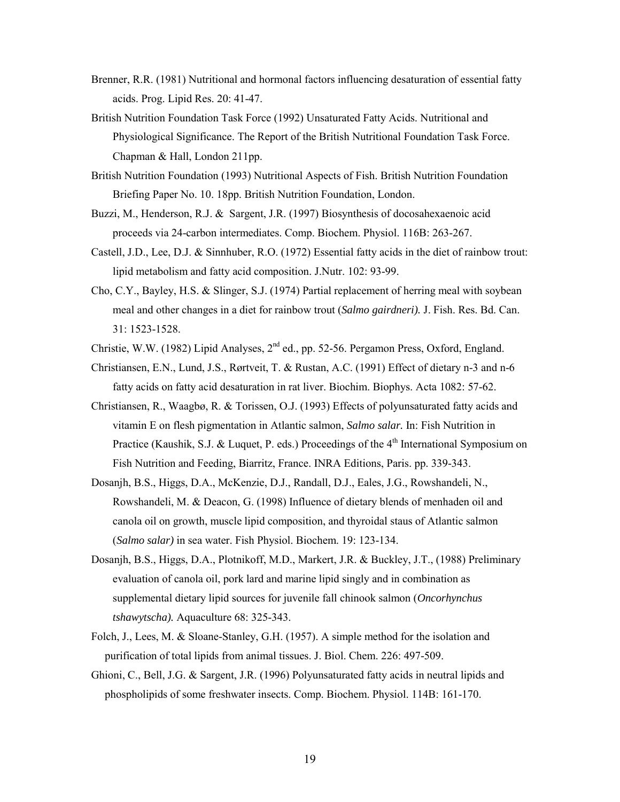- Brenner, R.R. (1981) Nutritional and hormonal factors influencing desaturation of essential fatty acids. Prog. Lipid Res. 20: 41-47.
- British Nutrition Foundation Task Force (1992) Unsaturated Fatty Acids. Nutritional and Physiological Significance. The Report of the British Nutritional Foundation Task Force. Chapman & Hall, London 211pp.
- British Nutrition Foundation (1993) Nutritional Aspects of Fish. British Nutrition Foundation Briefing Paper No. 10. 18pp. British Nutrition Foundation, London.
- Buzzi, M., Henderson, R.J. & Sargent, J.R. (1997) Biosynthesis of docosahexaenoic acid proceeds via 24-carbon intermediates. Comp. Biochem. Physiol. 116B: 263-267.
- Castell, J.D., Lee, D.J. & Sinnhuber, R.O. (1972) Essential fatty acids in the diet of rainbow trout: lipid metabolism and fatty acid composition. J.Nutr. 102: 93-99.
- Cho, C.Y., Bayley, H.S. & Slinger, S.J. (1974) Partial replacement of herring meal with soybean meal and other changes in a diet for rainbow trout (*Salmo gairdneri).* J. Fish. Res. Bd. Can. 31: 1523-1528.
- Christie, W.W. (1982) Lipid Analyses,  $2<sup>nd</sup>$  ed., pp. 52-56. Pergamon Press, Oxford, England.
- Christiansen, E.N., Lund, J.S., Rørtveit, T. & Rustan, A.C. (1991) Effect of dietary n-3 and n-6 fatty acids on fatty acid desaturation in rat liver. Biochim. Biophys. Acta 1082: 57-62.
- Christiansen, R., Waagbø, R. & Torissen, O.J. (1993) Effects of polyunsaturated fatty acids and vitamin E on flesh pigmentation in Atlantic salmon, *Salmo salar.* In: Fish Nutrition in Practice (Kaushik, S.J. & Luquet, P. eds.) Proceedings of the  $4<sup>th</sup>$  International Symposium on Fish Nutrition and Feeding, Biarritz, France. INRA Editions, Paris. pp. 339-343.
- Dosanjh, B.S., Higgs, D.A., McKenzie, D.J., Randall, D.J., Eales, J.G., Rowshandeli, N., Rowshandeli, M. & Deacon, G. (1998) Influence of dietary blends of menhaden oil and canola oil on growth, muscle lipid composition, and thyroidal staus of Atlantic salmon (*Salmo salar)* in sea water. Fish Physiol. Biochem. 19: 123-134.
- Dosanjh, B.S., Higgs, D.A., Plotnikoff, M.D., Markert, J.R. & Buckley, J.T., (1988) Preliminary evaluation of canola oil, pork lard and marine lipid singly and in combination as supplemental dietary lipid sources for juvenile fall chinook salmon (*Oncorhynchus tshawytscha).* Aquaculture 68: 325-343.
- Folch, J., Lees, M. & Sloane-Stanley, G.H. (1957). A simple method for the isolation and purification of total lipids from animal tissues. J. Biol. Chem. 226: 497-509.
- Ghioni, C., Bell, J.G. & Sargent, J.R. (1996) Polyunsaturated fatty acids in neutral lipids and phospholipids of some freshwater insects. Comp. Biochem. Physiol. 114B: 161-170.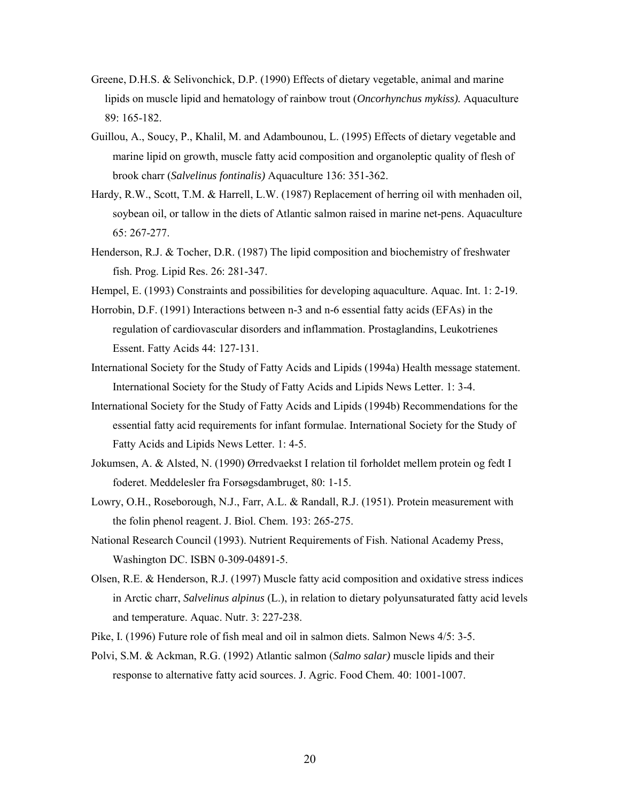- Greene, D.H.S. & Selivonchick, D.P. (1990) Effects of dietary vegetable, animal and marine lipids on muscle lipid and hematology of rainbow trout (*Oncorhynchus mykiss).* Aquaculture 89: 165-182.
- Guillou, A., Soucy, P., Khalil, M. and Adambounou, L. (1995) Effects of dietary vegetable and marine lipid on growth, muscle fatty acid composition and organoleptic quality of flesh of brook charr (*Salvelinus fontinalis)* Aquaculture 136: 351-362.
- Hardy, R.W., Scott, T.M. & Harrell, L.W. (1987) Replacement of herring oil with menhaden oil, soybean oil, or tallow in the diets of Atlantic salmon raised in marine net-pens. Aquaculture 65: 267-277.
- Henderson, R.J. & Tocher, D.R. (1987) The lipid composition and biochemistry of freshwater fish. Prog. Lipid Res. 26: 281-347.
- Hempel, E. (1993) Constraints and possibilities for developing aquaculture. Aquac. Int. 1: 2-19.
- Horrobin, D.F. (1991) Interactions between n-3 and n-6 essential fatty acids (EFAs) in the regulation of cardiovascular disorders and inflammation. Prostaglandins, Leukotrienes Essent. Fatty Acids 44: 127-131.
- International Society for the Study of Fatty Acids and Lipids (1994a) Health message statement. International Society for the Study of Fatty Acids and Lipids News Letter. 1: 3-4.
- International Society for the Study of Fatty Acids and Lipids (1994b) Recommendations for the essential fatty acid requirements for infant formulae. International Society for the Study of Fatty Acids and Lipids News Letter. 1: 4-5.
- Jokumsen, A. & Alsted, N. (1990) Ørredvaekst I relation til forholdet mellem protein og fedt I foderet. Meddelesler fra Forsøgsdambruget, 80: 1-15.
- Lowry, O.H., Roseborough, N.J., Farr, A.L. & Randall, R.J. (1951). Protein measurement with the folin phenol reagent. J. Biol. Chem. 193: 265-275.
- National Research Council (1993). Nutrient Requirements of Fish. National Academy Press, Washington DC. ISBN 0-309-04891-5.
- Olsen, R.E. & Henderson, R.J. (1997) Muscle fatty acid composition and oxidative stress indices in Arctic charr, *Salvelinus alpinus* (L.), in relation to dietary polyunsaturated fatty acid levels and temperature. Aquac. Nutr. 3: 227-238.
- Pike, I. (1996) Future role of fish meal and oil in salmon diets. Salmon News 4/5: 3-5.
- Polvi, S.M. & Ackman, R.G. (1992) Atlantic salmon (*Salmo salar)* muscle lipids and their response to alternative fatty acid sources. J. Agric. Food Chem. 40: 1001-1007.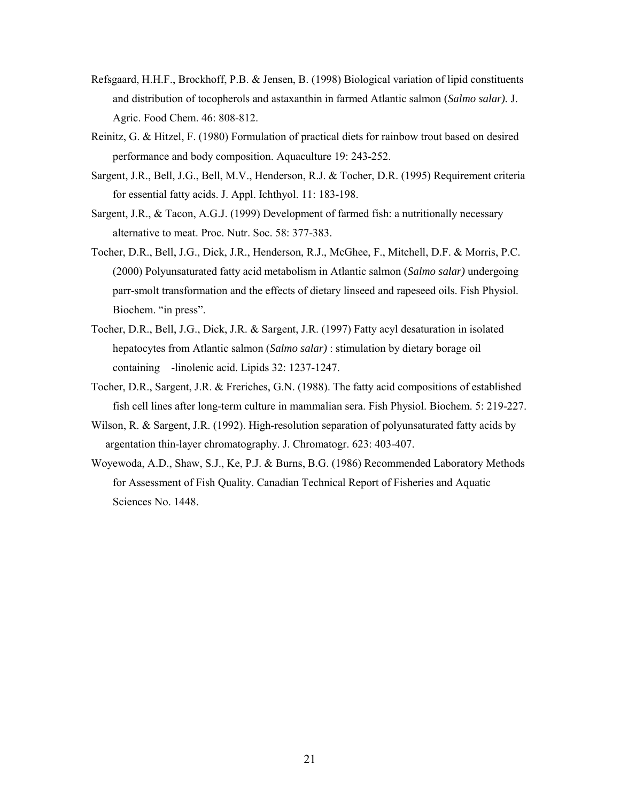- Refsgaard, H.H.F., Brockhoff, P.B. & Jensen, B. (1998) Biological variation of lipid constituents and distribution of tocopherols and astaxanthin in farmed Atlantic salmon (*Salmo salar).* J. Agric. Food Chem. 46: 808-812.
- Reinitz, G. & Hitzel, F. (1980) Formulation of practical diets for rainbow trout based on desired performance and body composition. Aquaculture 19: 243-252.
- Sargent, J.R., Bell, J.G., Bell, M.V., Henderson, R.J. & Tocher, D.R. (1995) Requirement criteria for essential fatty acids. J. Appl. Ichthyol. 11: 183-198.
- Sargent, J.R., & Tacon, A.G.J. (1999) Development of farmed fish: a nutritionally necessary alternative to meat. Proc. Nutr. Soc. 58: 377-383.
- Tocher, D.R., Bell, J.G., Dick, J.R., Henderson, R.J., McGhee, F., Mitchell, D.F. & Morris, P.C. (2000) Polyunsaturated fatty acid metabolism in Atlantic salmon (*Salmo salar)* undergoing parr-smolt transformation and the effects of dietary linseed and rapeseed oils. Fish Physiol. Biochem. "in press".
- Tocher, D.R., Bell, J.G., Dick, J.R. & Sargent, J.R. (1997) Fatty acyl desaturation in isolated hepatocytes from Atlantic salmon (*Salmo salar)* : stimulation by dietary borage oil containing -linolenic acid. Lipids 32: 1237-1247.
- Tocher, D.R., Sargent, J.R. & Freriches, G.N. (1988). The fatty acid compositions of established fish cell lines after long-term culture in mammalian sera. Fish Physiol. Biochem. 5: 219-227.
- Wilson, R. & Sargent, J.R. (1992). High-resolution separation of polyunsaturated fatty acids by argentation thin-layer chromatography. J. Chromatogr. 623: 403-407.
- Woyewoda, A.D., Shaw, S.J., Ke, P.J. & Burns, B.G. (1986) Recommended Laboratory Methods for Assessment of Fish Quality. Canadian Technical Report of Fisheries and Aquatic Sciences No. 1448.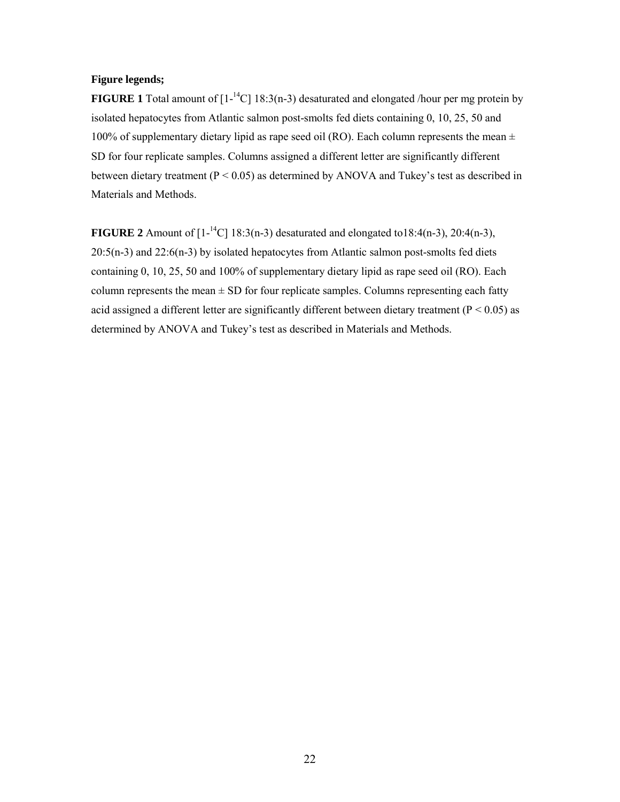## **Figure legends;**

**FIGURE 1** Total amount of  $[1 - {}^{14}C]$  18:3(n-3) desaturated and elongated /hour per mg protein by isolated hepatocytes from Atlantic salmon post-smolts fed diets containing 0, 10, 25, 50 and 100% of supplementary dietary lipid as rape seed oil (RO). Each column represents the mean  $\pm$ SD for four replicate samples. Columns assigned a different letter are significantly different between dietary treatment (P < 0.05) as determined by ANOVA and Tukey's test as described in Materials and Methods.

**FIGURE 2** Amount of  $[1^{-14}C]$  18:3(n-3) desaturated and elongated to18:4(n-3), 20:4(n-3), 20:5(n-3) and 22:6(n-3) by isolated hepatocytes from Atlantic salmon post-smolts fed diets containing 0, 10, 25, 50 and 100% of supplementary dietary lipid as rape seed oil (RO). Each column represents the mean  $\pm$  SD for four replicate samples. Columns representing each fatty acid assigned a different letter are significantly different between dietary treatment ( $P < 0.05$ ) as determined by ANOVA and Tukey's test as described in Materials and Methods.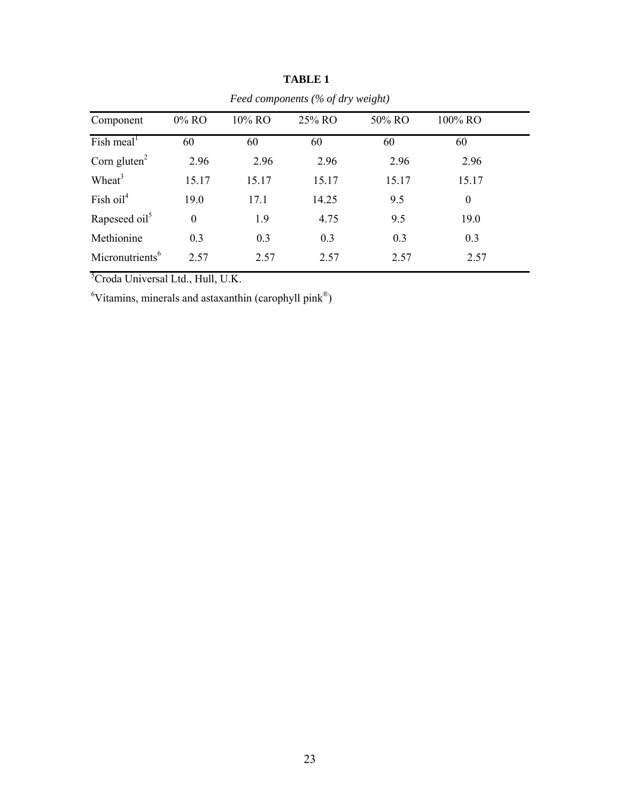| Component                                  | $0\%$ RO | 10% RO | 25% RO | 50% RO | 100% RO  |  |
|--------------------------------------------|----------|--------|--------|--------|----------|--|
| Fish meal <sup><math>\text{ }</math></sup> | 60       | 60     | 60     | 60     | 60       |  |
| Corn gluten $2$                            | 2.96     | 2.96   | 2.96   | 2.96   | 2.96     |  |
| Wheat $3$                                  | 15.17    | 15.17  | 15.17  | 15.17  | 15.17    |  |
| Fish $oil4$                                | 19.0     | 17.1   | 14.25  | 9.5    | $\theta$ |  |
| Rapeseed oil <sup>5</sup>                  | $\theta$ | 1.9    | 4.75   | 9.5    | 19.0     |  |
| Methionine                                 | 0.3      | 0.3    | 0.3    | 0.3    | 0.3      |  |
| Micronutrients <sup>6</sup>                | 2.57     | 2.57   | 2.57   | 2.57   | 2.57     |  |

 **TABLE 1** *Feed components (% of dry weight)*

<sup>5</sup>Croda Universal Ltd., Hull, U.K.

 ${}^6$ Vitamins, minerals and astaxanthin (carophyll pink ${}^{\circledR}$ )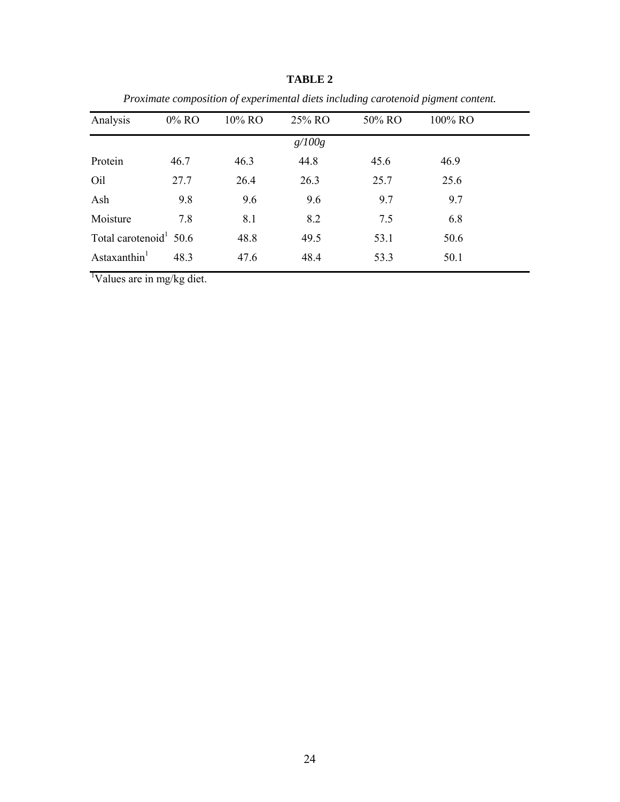| Analysis                           | $0\%$ RO | 10% RO | 25% RO | 50% RO | 100% RO |
|------------------------------------|----------|--------|--------|--------|---------|
|                                    |          |        | g/100g |        |         |
| Protein                            | 46.7     | 46.3   | 44.8   | 45.6   | 46.9    |
| Oil                                | 27.7     | 26.4   | 26.3   | 25.7   | 25.6    |
| Ash                                | 9.8      | 9.6    | 9.6    | 9.7    | 9.7     |
| Moisture                           | 7.8      | 8.1    | 8.2    | 7.5    | 6.8     |
| Total carotenoid <sup>1</sup> 50.6 |          | 48.8   | 49.5   | 53.1   | 50.6    |
| Astaxanthin <sup>1</sup>           | 48.3     | 47.6   | 48.4   | 53.3   | 50.1    |

**TABLE 2**

*Proximate composition of experimental diets including carotenoid pigment content.*

<sup>1</sup>Values are in mg/kg diet.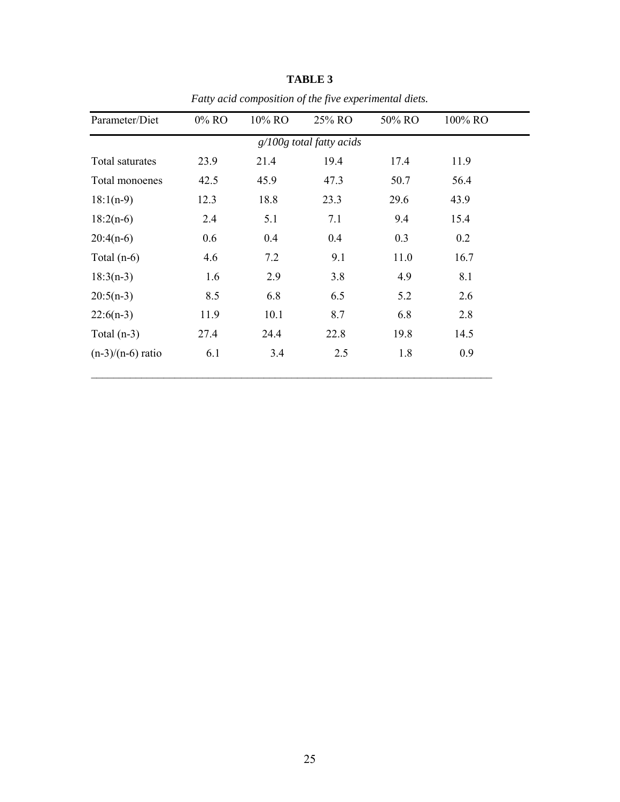| Parameter/Diet      | 0% RO | 10% RO | 25% RO                     | 50% RO | 100% RO |
|---------------------|-------|--------|----------------------------|--------|---------|
|                     |       |        | $g/100g$ total fatty acids |        |         |
| Total saturates     | 23.9  | 21.4   | 19.4                       | 17.4   | 11.9    |
| Total monoenes      | 42.5  | 45.9   | 47.3                       | 50.7   | 56.4    |
| $18:1(n-9)$         | 12.3  | 18.8   | 23.3                       | 29.6   | 43.9    |
| $18:2(n-6)$         | 2.4   | 5.1    | 7.1                        | 9.4    | 15.4    |
| $20:4(n-6)$         | 0.6   | 0.4    | 0.4                        | 0.3    | 0.2     |
| Total $(n-6)$       | 4.6   | 7.2    | 9.1                        | 11.0   | 16.7    |
| $18:3(n-3)$         | 1.6   | 2.9    | 3.8                        | 4.9    | 8.1     |
| $20:5(n-3)$         | 8.5   | 6.8    | 6.5                        | 5.2    | 2.6     |
| $22:6(n-3)$         | 11.9  | 10.1   | 8.7                        | 6.8    | 2.8     |
| Total $(n-3)$       | 27.4  | 24.4   | 22.8                       | 19.8   | 14.5    |
| $(n-3)/(n-6)$ ratio | 6.1   | 3.4    | 2.5                        | 1.8    | 0.9     |
|                     |       |        |                            |        |         |

**TABLE 3** *Fatty acid composition of the five experimental diets.*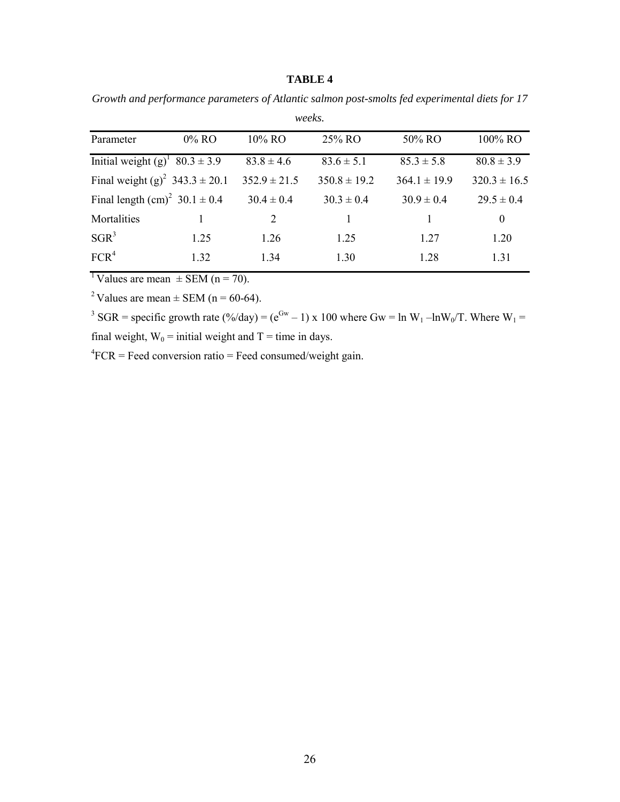*Growth and performance parameters of Atlantic salmon post-smolts fed experimental diets for 17*

| weeks.   |                                                                                                                           |                  |                  |                  |  |  |  |
|----------|---------------------------------------------------------------------------------------------------------------------------|------------------|------------------|------------------|--|--|--|
| $0\%$ RO | 10% RO                                                                                                                    | 25% RO           | 50% RO           | 100% RO          |  |  |  |
|          | $83.8 \pm 4.6$                                                                                                            | $83.6 \pm 5.1$   | $85.3 \pm 5.8$   | $80.8 \pm 3.9$   |  |  |  |
|          | $352.9 \pm 21.5$                                                                                                          | $350.8 \pm 19.2$ | $364.1 \pm 19.9$ | $320.3 \pm 16.5$ |  |  |  |
|          | $30.4 \pm 0.4$                                                                                                            | $30.3 \pm 0.4$   | $30.9 \pm 0.4$   | $29.5 \pm 0.4$   |  |  |  |
|          | 2                                                                                                                         | 1                |                  | $\theta$         |  |  |  |
| 1.25     | 1.26                                                                                                                      | 1.25             | 1.27             | 1.20             |  |  |  |
| 1.32     | 1.34                                                                                                                      | 1.30             | 1.28             | 1.31             |  |  |  |
|          | Initial weight $(g)^{1}$ 80.3 ± 3.9<br>Final weight (g) <sup>2</sup> 343.3 ± 20.1<br>Final length $(cm)^2$ 30.1 $\pm$ 0.4 |                  |                  |                  |  |  |  |

<sup>1</sup>Values are mean  $\pm$  SEM (n = 70).

<sup>2</sup> Values are mean  $\pm$  SEM (n = 60-64).

<sup>3</sup> SGR = specific growth rate (%/day) = ( $e^{Gw}$  – 1) x 100 where Gw = ln W<sub>1</sub> –lnW<sub>0</sub>/T. Where W<sub>1</sub> = final weight,  $W_0$  = initial weight and T = time in days.

 ${}^{4}$ FCR = Feed conversion ratio = Feed consumed/weight gain.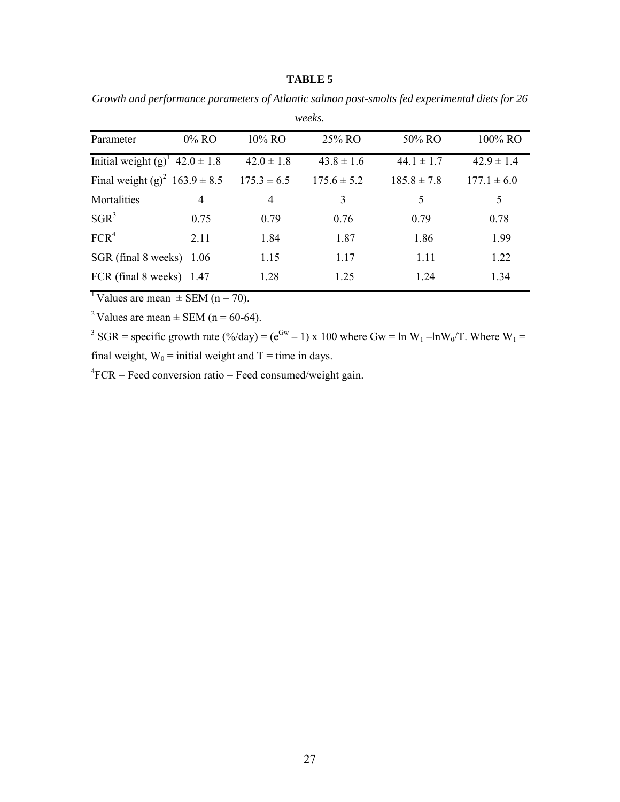*Growth and performance parameters of Atlantic salmon post-smolts fed experimental diets for 26*

| weeks.                                        |                |                 |                 |                 |                 |  |  |  |
|-----------------------------------------------|----------------|-----------------|-----------------|-----------------|-----------------|--|--|--|
| Parameter                                     | $0\%$ RO       | 10% RO          | 25% RO          | 50% RO          | 100% RO         |  |  |  |
| Initial weight $(g)^{1}$ 42.0 $\pm$ 1.8       |                | $42.0 \pm 1.8$  | $43.8 \pm 1.6$  | $44.1 \pm 1.7$  | $42.9 \pm 1.4$  |  |  |  |
| Final weight (g) <sup>2</sup> $163.9 \pm 8.5$ |                | $175.3 \pm 6.5$ | $175.6 \pm 5.2$ | $185.8 \pm 7.8$ | $177.1 \pm 6.0$ |  |  |  |
| Mortalities                                   | $\overline{4}$ | $\overline{4}$  | 3               | 5               | 5               |  |  |  |
| $SGR^3$                                       | 0.75           | 0.79            | 0.76            | 0.79            | 0.78            |  |  |  |
| FCR <sup>4</sup>                              | 2.11           | 1.84            | 1.87            | 1.86            | 1.99            |  |  |  |
| SGR (final 8 weeks)                           | -1.06          | 1.15            | 1.17            | 1.11            | 1.22            |  |  |  |
| FCR (final 8 weeks) 1.47                      |                | 1.28            | 1.25            | 1.24            | 1.34            |  |  |  |

<sup>1</sup>Values are mean  $\pm$  SEM (n = 70).

<sup>2</sup> Values are mean  $\pm$  SEM (n = 60-64).

<sup>3</sup> SGR = specific growth rate (%/day) = ( $e^{Gw}$  – 1) x 100 where Gw = ln W<sub>1</sub> –lnW<sub>0</sub>/T. Where W<sub>1</sub> = final weight,  $W_0$  = initial weight and T = time in days.

 ${}^{4}$ FCR = Feed conversion ratio = Feed consumed/weight gain.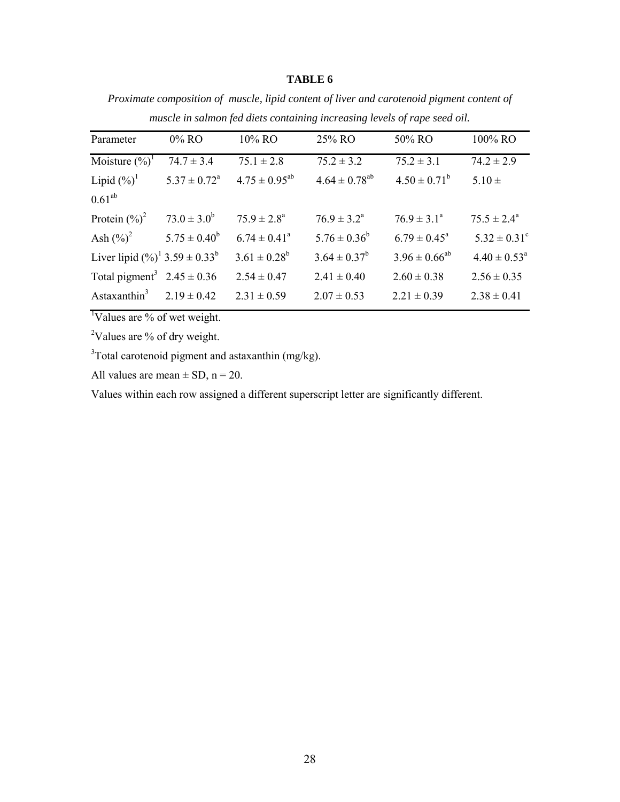*Proximate composition of muscle, lipid content of liver and carotenoid pigment content of muscle in salmon fed diets containing increasing levels of rape seed oil.*

| Parameter                                              | $0\%$ RO                   | 10% RO                  | 25% RO                 | 50% RO                  | 100% RO                    |
|--------------------------------------------------------|----------------------------|-------------------------|------------------------|-------------------------|----------------------------|
| Moisture $(\%)^1$                                      | $74.7 \pm 3.4$             | $75.1 \pm 2.8$          | $75.2 \pm 3.2$         | $75.2 \pm 3.1$          | $74.2 \pm 2.9$             |
| Lipid $(\%)^{\perp}$                                   | $5.37 \pm 0.72^{\text{a}}$ | $4.75 \pm 0.95^{ab}$    | $4.64 \pm 0.78^{ab}$   | $4.50 \pm 0.71^b$       | $5.10 \pm$                 |
| $0.61^{ab}$                                            |                            |                         |                        |                         |                            |
| Protein $(\%)^2$                                       | $73.0 \pm 3.0^b$           | $75.9 \pm 2.8^{\circ}$  | $76.9 \pm 3.2^{\circ}$ | $76.9 \pm 3.1^{\circ}$  | $75.5 \pm 2.4^{\circ}$     |
| Ash $(\%)^2$                                           | $5.75 \pm 0.40^b$          | $6.74 \pm 0.41^{\circ}$ | $5.76 \pm 0.36^b$      | $6.79 \pm 0.45^{\circ}$ | $5.32 \pm 0.31^{\circ}$    |
| Liver lipid $(\frac{9}{0})^1$ 3.59 ± 0.33 <sup>b</sup> |                            | $3.61 \pm 0.28^b$       | $3.64 \pm 0.37^b$      | $3.96 \pm 0.66^{ab}$    | $4.40 \pm 0.53^{\text{a}}$ |
| Total pigment <sup>3</sup> $2.45 \pm 0.36$             |                            | $2.54 \pm 0.47$         | $2.41 \pm 0.40$        | $2.60 \pm 0.38$         | $2.56 \pm 0.35$            |
| Astaxanthin $3$                                        | $2.19 \pm 0.42$            | $2.31 \pm 0.59$         | $2.07 \pm 0.53$        | $2.21 \pm 0.39$         | $2.38 \pm 0.41$            |
|                                                        |                            |                         |                        |                         |                            |

<sup>1</sup>Values are % of wet weight.

<sup>2</sup>Values are % of dry weight.

 $3$ Total carotenoid pigment and astaxanthin (mg/kg).

All values are mean  $\pm$  SD, n = 20.

Values within each row assigned a different superscript letter are significantly different.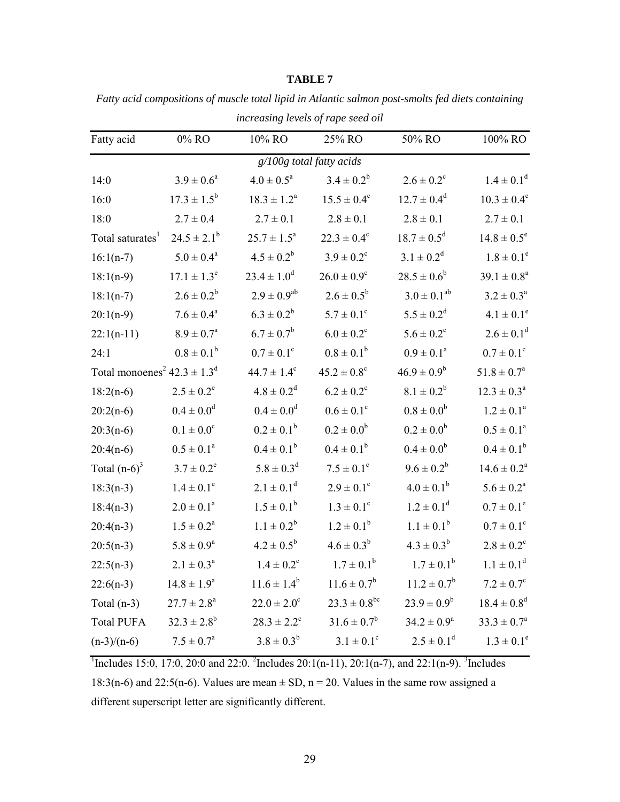|                                                         |                          |                          | increasing tevels of rape seea ou |                        |                             |
|---------------------------------------------------------|--------------------------|--------------------------|-----------------------------------|------------------------|-----------------------------|
| Fatty acid                                              | $0\%$ RO                 | 10% RO                   | 25% RO                            | 50% RO                 | 100% RO                     |
|                                                         |                          | g/100g total fatty acids |                                   |                        |                             |
| 14:0                                                    | $3.9 \pm 0.6^a$          | $4.0\pm0.5^{\text{a}}$   | $3.4 \pm 0.2^b$                   | $2.6 \pm 0.2^{\circ}$  | $1.4 \pm 0.1^d$             |
| 16:0                                                    | $17.3 \pm 1.5^b$         | $18.3 \pm 1.2^a$         | $15.5 \pm 0.4^c$                  | $12.7 \pm 0.4^d$       | $10.3 \pm 0.4^e$            |
| 18:0                                                    | $2.7 \pm 0.4$            | $2.7 \pm 0.1$            | $2.8 \pm 0.1$                     | $2.8 \pm 0.1$          | $2.7 \pm 0.1$               |
| Total saturates <sup>1</sup>                            | $24.5 \pm 2.1^b$         | $25.7 \pm 1.5^a$         | $22.3 \pm 0.4^c$                  | $18.7 \pm 0.5^d$       | $14.8 \pm 0.5^e$            |
| $16:1(n-7)$                                             | $5.0\pm0.4^{\rm a}$      | $4.5 \pm 0.2^b$          | $3.9 \pm 0.2^{\circ}$             | $3.1 \pm 0.2^d$        | $1.8 \pm 0.1^e$             |
| $18:1(n-9)$                                             | $17.1 \pm 1.3^e$         | $23.4 \pm 1.0^d$         | $26.0 \pm 0.9^c$                  | $28.5 \pm 0.6^b$       | $39.1 \pm 0.8^a$            |
| $18:1(n-7)$                                             | $2.6 \pm 0.2^b$          | $2.9 \pm 0.9^{ab}$       | $2.6 \pm 0.5^b$                   | $3.0 \pm 0.1^{ab}$     | $3.2 \pm 0.3^a$             |
| $20:1(n-9)$                                             | $7.6 \pm 0.4^a$          | $6.3 \pm 0.2^b$          | $5.7 \pm 0.1^{\circ}$             | $5.5 \pm 0.2^d$        | $4.1 \pm 0.1^e$             |
| $22:1(n-11)$                                            | $8.9 \pm 0.7^{\text{a}}$ | $6.7 \pm 0.7^b$          | $6.0 \pm 0.2^c$                   | $5.6 \pm 0.2^c$        | $2.6 \pm 0.1^d$             |
| 24:1                                                    | $0.8 \pm 0.1^b$          | $0.7 \pm 0.1^{\circ}$    | $0.8 \pm 0.1^b$                   | $0.9 \pm 0.1^a$        | $0.7 \pm 0.1^{\circ}$       |
| Total monoenes <sup>2</sup> $42.3 \pm 1.3$ <sup>d</sup> |                          | $44.7 \pm 1.4^c$         | $45.2 \pm 0.8^{\circ}$            | $46.9 \pm 0.9^b$       | $51.8 \pm 0.7^{\rm a}$      |
| $18:2(n-6)$                                             | $2.5 \pm 0.2^e$          | $4.8 \pm 0.2^d$          | $6.2 \pm 0.2^c$                   | $8.1 \pm 0.2^b$        | $12.3 \pm 0.3^{\circ}$      |
| $20:2(n-6)$                                             | $0.4 \pm 0.0^d$          | $0.4 \pm 0.0^d$          | $0.6 \pm 0.1^{\circ}$             | $0.8 \pm 0.0^b$        | $1.2 \pm 0.1^a$             |
| $20:3(n-6)$                                             | $0.1 \pm 0.0^{\circ}$    | $0.2 \pm 0.1^b$          | $0.2 \pm 0.0^b$                   | $0.2 \pm 0.0^b$        | $0.5 \pm 0.1^a$             |
| $20:4(n-6)$                                             | $0.5 \pm 0.1^a$          | $0.4 \pm 0.1^b$          | $0.4 \pm 0.1^b$                   | $0.4 \pm 0.0^b$        | $0.4 \pm 0.1^b$             |
| Total $(n-6)^3$                                         | $3.7 \pm 0.2^e$          | $5.8 \pm 0.3^d$          | $7.5 \pm 0.1^{\circ}$             | $9.6 \pm 0.2^b$        | $14.6 \pm 0.2^a$            |
| $18:3(n-3)$                                             | $1.4 \pm 0.1^e$          | $2.1 \pm 0.1^d$          | $2.9 \pm 0.1^{\circ}$             | $4.0 \pm 0.1^b$        | $5.6 \pm 0.2^a$             |
| $18:4(n-3)$                                             | $2.0 \pm 0.1^a$          | $1.5 \pm 0.1^b$          | $1.3 \pm 0.1^c$                   | $1.2 \pm 0.1^d$        | $0.7 \pm 0.1^e$             |
| $20:4(n-3)$                                             | $1.5 \pm 0.2^a$          | $1.1 \pm 0.2^b$          | $1.2 \pm 0.1^b$                   | $1.1 \pm 0.1^b$        | $0.7 \pm 0.1^{\circ}$       |
| $20:5(n-3)$                                             | $5.8 \pm 0.9^{\rm a}$    | $4.2 \pm 0.5^{\rm b}$    | $4.6 \pm 0.3^b$                   | $4.3 \pm 0.3^b$        | $2.8 \pm 0.2^{\circ}$       |
| $22:5(n-3)$                                             | $2.1 \pm 0.3^a$          | $1.4 \pm 0.2^c$          | $1.7 \pm 0.1^b$                   | $1.7 \pm 0.1^b$        | $1.1 \pm 0.1^d$             |
| $22:6(n-3)$                                             | $14.8 \pm 1.9^a$         | $11.6 \pm 1.4^b$         | $11.6 \pm 0.7^b$                  | $11.2 \pm 0.7^b$       | $7.2 \pm 0.7^{\circ}$       |
| Total $(n-3)$                                           | $27.7 \pm 2.8^{\circ}$   | $22.0 \pm 2.0^{\circ}$   | $23.3 \pm 0.8^{\rm bc}$           | $23.9 \pm 0.9^b$       | $18.4 \pm 0.8$ <sup>d</sup> |
| <b>Total PUFA</b>                                       | $32.3 \pm 2.8^b$         | $28.3 \pm 2.2^c$         | $31.6 \pm 0.7^b$                  | $34.2 \pm 0.9^{\circ}$ | $33.3 \pm 0.7^{\circ}$      |
| $(n-3)/(n-6)$                                           | $7.5 \pm 0.7^{\rm a}$    | $3.8 \pm 0.3^b$          | $3.1 \pm 0.1^c$                   | $2.5 \pm 0.1^d$        | $1.3 \pm 0.1^e$             |
|                                                         |                          |                          |                                   |                        |                             |

*Fatty acid compositions of muscle total lipid in Atlantic salmon post-smolts fed diets containing increasing levels of rape seed oil*

<sup>1</sup>Includes 15:0, 17:0, 20:0 and 22:0. <sup>2</sup>Includes 20:1(n-11), 20:1(n-7), and 22:1(n-9). <sup>3</sup>Includes 18:3(n-6) and 22:5(n-6). Values are mean  $\pm$  SD, n = 20. Values in the same row assigned a different superscript letter are significantly different.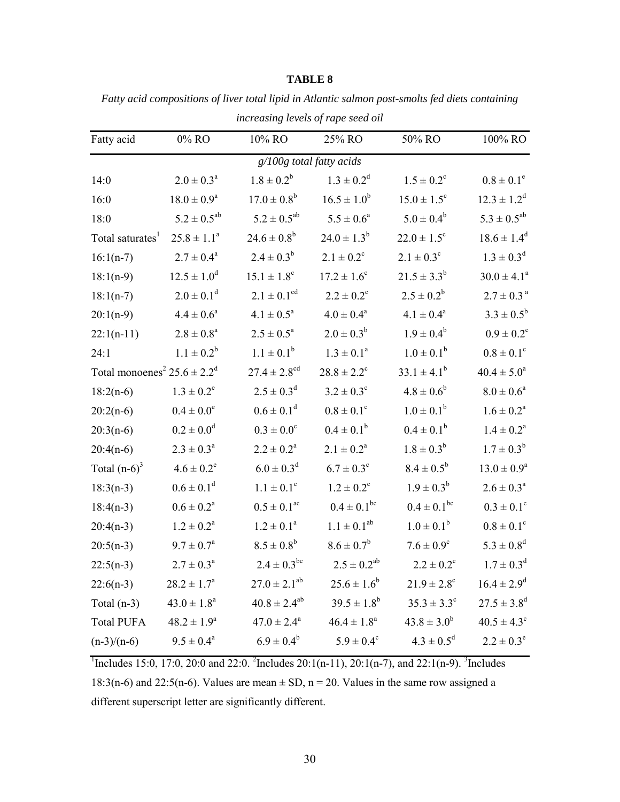|                                                         |                            | mercusing tevels of rupe secu on |                             |                             |                            |  |  |  |
|---------------------------------------------------------|----------------------------|----------------------------------|-----------------------------|-----------------------------|----------------------------|--|--|--|
| Fatty acid                                              | $0\%$ RO                   | 10% RO                           | 25% RO                      | 50% RO                      | 100% RO                    |  |  |  |
| $g/100g$ total fatty acids                              |                            |                                  |                             |                             |                            |  |  |  |
| 14:0                                                    | $2.0 \pm 0.3^a$            | $1.8 \pm 0.2^b$                  | $1.3 \pm 0.2^d$             | $1.5 \pm 0.2^{\circ}$       | $0.8 \pm 0.1^e$            |  |  |  |
| 16:0                                                    | $18.0 \pm 0.9^{\rm a}$     | $17.0 \pm 0.8^b$                 | $16.5 \pm 1.0^b$            | $15.0 \pm 1.5^{\circ}$      | $12.3 \pm 1.2^d$           |  |  |  |
| 18:0                                                    | $5.2 \pm 0.5^{ab}$         | $5.2 \pm 0.5^{ab}$               | $5.5 \pm 0.6^a$             | $5.0 \pm 0.4^b$             | $5.3 \pm 0.5^{ab}$         |  |  |  |
| Total saturates <sup>1</sup>                            | $25.8 \pm 1.1^a$           | $24.6 \pm 0.8^b$                 | $24.0 \pm 1.3^b$            | $22.0 \pm 1.5^{\circ}$      | $18.6 \pm 1.4^d$           |  |  |  |
| $16:1(n-7)$                                             | $2.7 \pm 0.4^a$            | $2.4 \pm 0.3^b$                  | $2.1 \pm 0.2^c$             | $2.1 \pm 0.3^{\circ}$       | $1.3 \pm 0.3^d$            |  |  |  |
| $18:1(n-9)$                                             | $12.5 \pm 1.0^d$           | $15.1 \pm 1.8^c$                 | $17.2 \pm 1.6^{\circ}$      | $21.5 \pm 3.3^b$            | $30.0 \pm 4.1^a$           |  |  |  |
| $18:1(n-7)$                                             | $2.0 \pm 0.1$ <sup>d</sup> | $2.1 \pm 0.1^{\text{cd}}$        | $2.2 \pm 0.2^c$             | $2.5 \pm 0.2^b$             | $2.7\pm0.3$ $^{\rm a}$     |  |  |  |
| $20:1(n-9)$                                             | $4.4 \pm 0.6^a$            | $4.1 \pm 0.5^{\text{a}}$         | $4.0 \pm 0.4^a$             | $4.1 \pm 0.4^a$             | $3.3 \pm 0.5^b$            |  |  |  |
| $22:1(n-11)$                                            | $2.8\pm0.8^{\rm a}$        | $2.5 \pm 0.5^{\text{a}}$         | $2.0 \pm 0.3^b$             | $1.9 \pm 0.4^b$             | $0.9 \pm 0.2^c$            |  |  |  |
| 24:1                                                    | $1.1 \pm 0.2^b$            | $1.1 \pm 0.1^b$                  | $1.3 \pm 0.1^a$             | $1.0 \pm 0.1^b$             | $0.8 \pm 0.1^c$            |  |  |  |
| Total monoenes <sup>2</sup> $25.6 \pm 2.2$ <sup>d</sup> |                            | $27.4 \pm 2.8$ <sup>cd</sup>     | $28.8 \pm 2.2$ <sup>c</sup> | $33.1 \pm 4.1^b$            | $40.4 \pm 5.0^a$           |  |  |  |
| $18:2(n-6)$                                             | $1.3 \pm 0.2^e$            | $2.5 \pm 0.3^d$                  | $3.2 \pm 0.3^{\circ}$       | $4.8 \pm 0.6^b$             | $8.0 \pm 0.6^a$            |  |  |  |
| $20:2(n-6)$                                             | $0.4 \pm 0.0^e$            | $0.6 \pm 0.1^d$                  | $0.8 \pm 0.1^{\circ}$       | $1.0 \pm 0.1^b$             | $1.6 \pm 0.2^a$            |  |  |  |
| $20:3(n-6)$                                             | $0.2 \pm 0.0^d$            | $0.3 \pm 0.0^c$                  | $0.4 \pm 0.1^b$             | $0.4 \pm 0.1^b$             | $1.4 \pm 0.2^a$            |  |  |  |
| $20:4(n-6)$                                             | $2.3 \pm 0.3^{\rm a}$      | $2.2 \pm 0.2^a$                  | $2.1 \pm 0.2^a$             | $1.8 \pm 0.3^b$             | $1.7 \pm 0.3^b$            |  |  |  |
| Total $(n-6)^3$                                         | $4.6 \pm 0.2^e$            | $6.0 \pm 0.3^d$                  | $6.7 \pm 0.3^{\circ}$       | $8.4 \pm 0.5^{\rm b}$       | $13.0 \pm 0.9^a$           |  |  |  |
| $18:3(n-3)$                                             | $0.6 \pm 0.1$ <sup>d</sup> | $1.1 \pm 0.1^{\circ}$            | $1.2 \pm 0.2^c$             | $1.9 \pm 0.3^b$             | $2.6 \pm 0.3^a$            |  |  |  |
| $18:4(n-3)$                                             | $0.6 \pm 0.2^{\rm a}$      | $0.5 \pm 0.1$ <sup>ac</sup>      | $0.4 \pm 0.1^{\rm bc}$      | $0.4 \pm 0.1^{\rm bc}$      | $0.3 \pm 0.1^c$            |  |  |  |
| $20:4(n-3)$                                             | $1.2 \pm 0.2^a$            | $1.2 \pm 0.1^a$                  | $1.1 \pm 0.1^{ab}$          | $1.0 \pm 0.1^b$             | $0.8 \pm 0.1^c$            |  |  |  |
| $20:5(n-3)$                                             | $9.7 \pm 0.7^{\rm a}$      | $8.5 \pm 0.8^b$                  | $8.6 \pm 0.7^b$             | $7.6 \pm 0.9^{\circ}$       | $5.3 \pm 0.8$ <sup>d</sup> |  |  |  |
| $22:5(n-3)$                                             | $2.7 \pm 0.3^a$            | $2.4 \pm 0.3^{bc}$               | $2.5 \pm 0.2^{ab}$          | $2.2 \pm 0.2^c$             | $1.7 \pm 0.3^d$            |  |  |  |
| $22:6(n-3)$                                             | $28.2 \pm 1.7^{\circ}$     | $27.0 \pm 2.1^{ab}$              | $25.6 \pm 1.6^b$            | $21.9 \pm 2.8$ <sup>c</sup> | $16.4 \pm 2.9^d$           |  |  |  |
| Total (n-3) $43.0 \pm 1.8^a$                            |                            | $40.8 \pm 2.4^{ab}$              | $39.5 \pm 1.8^b$            | $35.3 \pm 3.3^{\circ}$      | $27.5\pm3.8^{\text{d}}$    |  |  |  |
| <b>Total PUFA</b>                                       | $48.2 \pm 1.9^a$           | $47.0 \pm 2.4^{\circ}$           | $46.4 \pm 1.8^a$            | $43.8 \pm 3.0^b$            | $40.5 \pm 4.3^{\circ}$     |  |  |  |
| $(n-3)/(n-6)$                                           | $9.5 \pm 0.4^{\circ}$      | $6.9 \pm 0.4^b$                  | $5.9 \pm 0.4^c$             | $4.3 \pm 0.5^d$             | $2.2 \pm 0.3^e$            |  |  |  |
|                                                         |                            |                                  |                             |                             |                            |  |  |  |

*Fatty acid compositions of liver total lipid in Atlantic salmon post-smolts fed diets containing increasing levels of rape seed oil*

<sup>1</sup>Includes 15:0, 17:0, 20:0 and 22:0. <sup>2</sup>Includes 20:1(n-11), 20:1(n-7), and 22:1(n-9). <sup>3</sup>Includes 18:3(n-6) and 22:5(n-6). Values are mean  $\pm$  SD, n = 20. Values in the same row assigned a different superscript letter are significantly different.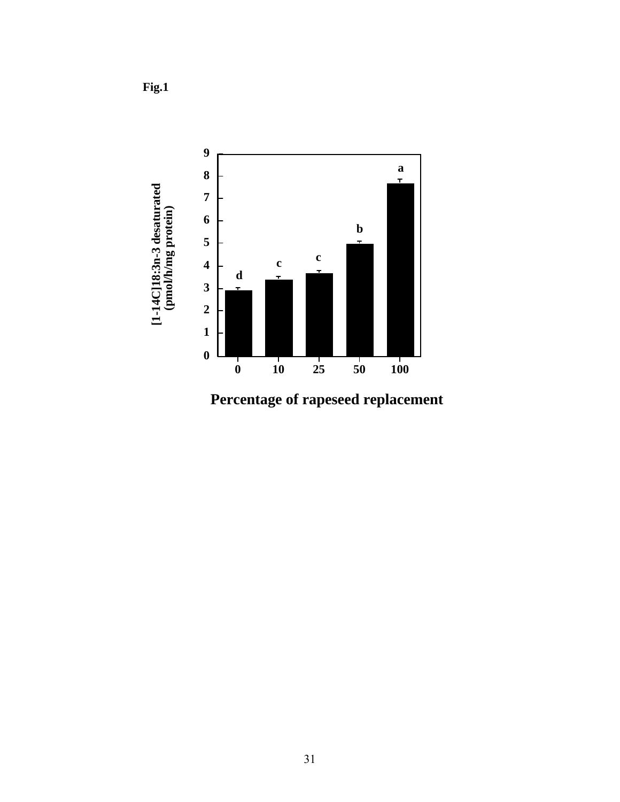

**Percentage of rapeseed replacement**

**Fig.1**